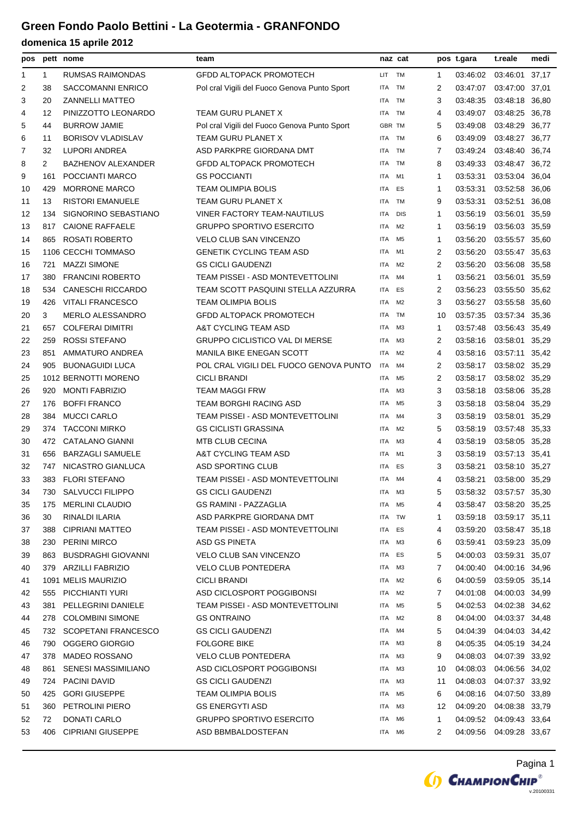| pos            |      | pett nome                  | team                                         | naz cat    |                |                | pos t.gara | t.reale        | medi  |
|----------------|------|----------------------------|----------------------------------------------|------------|----------------|----------------|------------|----------------|-------|
| 1              | 1    | RUMSAS RAIMONDAS           | <b>GFDD ALTOPACK PROMOTECH</b>               | LIT.       | TM             | 1              | 03:46:02   | 03:46:01       | 37,17 |
| $\overline{2}$ | 38   | <b>SACCOMANNI ENRICO</b>   | Pol cral Vigili del Fuoco Genova Punto Sport | <b>ITA</b> | <b>TM</b>      | 2              | 03:47:07   | 03:47:00 37,01 |       |
| 3              | 20   | <b>ZANNELLI MATTEO</b>     |                                              | <b>ITA</b> | <b>TM</b>      | 3              | 03:48:35   | 03:48:18 36,80 |       |
| 4              | 12   | PINIZZOTTO LEONARDO        | TEAM GURU PLANET X                           | <b>ITA</b> | TM             | 4              | 03:49:07   | 03:48:25 36,78 |       |
| 5              | 44   | <b>BURROW JAMIE</b>        | Pol cral Vigili del Fuoco Genova Punto Sport | GBR TM     |                | 5              | 03:49:08   | 03:48:29       | 36,77 |
| 6              | 11   | <b>BORISOV VLADISLAV</b>   | TEAM GURU PLANET X                           | <b>ITA</b> | <b>TM</b>      | 6              | 03:49:09   | 03:48:27       | 36,77 |
| 7              | 32   | LUPORI ANDREA              | ASD PARKPRE GIORDANA DMT                     | <b>ITA</b> | TM             | 7              | 03:49:24   | 03:48:40 36,74 |       |
| 8              | 2    | <b>BAZHENOV ALEXANDER</b>  | <b>GFDD ALTOPACK PROMOTECH</b>               | ITA        | <b>TM</b>      | 8              | 03:49:33   | 03:48:47 36,72 |       |
| 9              | 161  | POCCIANTI MARCO            | <b>GS POCCIANTI</b>                          | ITA        | M <sub>1</sub> | 1              | 03:53:31   | 03:53:04       | 36,04 |
| 10             | 429  | <b>MORRONE MARCO</b>       | TEAM OLIMPIA BOLIS                           | <b>ITA</b> | ES             | 1              | 03:53:31   | 03:52:58 36,06 |       |
| 11             | 13   | <b>RISTORI EMANUELE</b>    | TEAM GURU PLANET X                           | <b>ITA</b> | <b>TM</b>      | 9              | 03:53:31   | 03:52:51       | 36,08 |
| 12             | 134  | SIGNORINO SEBASTIANO       | <b>VINER FACTORY TEAM-NAUTILUS</b>           | ITA        | <b>DIS</b>     | 1              | 03:56:19   | 03:56:01       | 35,59 |
| 13             | 817  | <b>CAIONE RAFFAELE</b>     | <b>GRUPPO SPORTIVO ESERCITO</b>              | <b>ITA</b> | M <sub>2</sub> | 1              | 03:56:19   | 03:56:03 35,59 |       |
| 14             | 865  | ROSATI ROBERTO             | <b>VELO CLUB SAN VINCENZO</b>                | <b>ITA</b> | M <sub>5</sub> | 1              | 03:56:20   | 03:55:57 35,60 |       |
| 15             |      | 1106 CECCHI TOMMASO        | <b>GENETIK CYCLING TEAM ASD</b>              | ITA        | M <sub>1</sub> | 2              | 03:56:20   | 03:55:47 35,63 |       |
| 16             | 721  | <b>MAZZI SIMONE</b>        | <b>GS CICLI GAUDENZI</b>                     | <b>ITA</b> | M <sub>2</sub> | $\overline{2}$ | 03:56:20   | 03:56:08 35,58 |       |
| 17             | 380  | <b>FRANCINI ROBERTO</b>    | TEAM PISSEI - ASD MONTEVETTOLINI             | <b>ITA</b> | M <sub>4</sub> | $\mathbf{1}$   | 03:56:21   | 03:56:01       | 35,59 |
| 18             | 534  | <b>CANESCHI RICCARDO</b>   | TEAM SCOTT PASQUINI STELLA AZZURRA           | <b>ITA</b> | ES             | 2              | 03:56:23   | 03:55:50 35,62 |       |
| 19             | 426  | <b>VITALI FRANCESCO</b>    | TEAM OLIMPIA BOLIS                           | <b>ITA</b> | M <sub>2</sub> | 3              | 03:56:27   | 03:55:58 35,60 |       |
| 20             | 3    | <b>MERLO ALESSANDRO</b>    | <b>GFDD ALTOPACK PROMOTECH</b>               | <b>ITA</b> | <b>TM</b>      | 10             | 03:57:35   | 03:57:34 35,36 |       |
| 21             | 657  | <b>COLFERAI DIMITRI</b>    | A&T CYCLING TEAM ASD                         | <b>ITA</b> | M <sub>3</sub> | 1              | 03:57:48   | 03:56:43 35,49 |       |
| 22             | 259  | <b>ROSSI STEFANO</b>       | <b>GRUPPO CICLISTICO VAL DI MERSE</b>        | <b>ITA</b> | M <sub>3</sub> | 2              | 03:58:16   | 03:58:01 35,29 |       |
| 23             | 851  | AMMATURO ANDREA            | <b>MANILA BIKE ENEGAN SCOTT</b>              | <b>ITA</b> | M <sub>2</sub> | 4              | 03:58:16   | 03:57:11       | 35,42 |
| 24             | 905  | <b>BUONAGUIDI LUCA</b>     | POL CRAL VIGILI DEL FUOCO GENOVA PUNTO       | <b>ITA</b> | M <sub>4</sub> | 2              | 03:58:17   | 03:58:02 35,29 |       |
| 25             |      | 1012 BERNOTTI MORENO       | <b>CICLI BRANDI</b>                          | <b>ITA</b> | M <sub>5</sub> | $\overline{2}$ | 03:58:17   | 03:58:02 35,29 |       |
| 26             | 920  | <b>MONTI FABRIZIO</b>      | <b>TEAM MAGGI FRW</b>                        | ITA        | M <sub>3</sub> | 3              | 03:58:18   | 03:58:06 35,28 |       |
| 27             | 176  | <b>BOFFI FRANCO</b>        | TEAM BORGHI RACING ASD                       | ITA        | M <sub>5</sub> | 3              | 03:58:18   | 03:58:04 35,29 |       |
| 28             | 384  | <b>MUCCI CARLO</b>         | TEAM PISSEI - ASD MONTEVETTOLINI             | <b>ITA</b> | M <sub>4</sub> | 3              | 03:58:19   | 03:58:01 35,29 |       |
| 29             | 374  | <b>TACCONI MIRKO</b>       | <b>GS CICLISTI GRASSINA</b>                  | <b>ITA</b> | M <sub>2</sub> | 5              | 03:58:19   | 03:57:48       | 35,33 |
| 30             | 472  | <b>CATALANO GIANNI</b>     | <b>MTB CLUB CECINA</b>                       | <b>ITA</b> | M <sub>3</sub> | 4              | 03:58:19   | 03:58:05       | 35,28 |
| 31             | 656  | <b>BARZAGLI SAMUELE</b>    | A&T CYCLING TEAM ASD                         | <b>ITA</b> | M1             | 3              | 03:58:19   | 03:57:13 35,41 |       |
| 32             | 747  | NICASTRO GIANLUCA          | <b>ASD SPORTING CLUB</b>                     | ITA        | ES             | 3              | 03:58:21   | 03:58:10 35,27 |       |
| 33             |      | 383 FLORI STEFANO          | TEAM PISSEI - ASD MONTEVETTOLINI             | <b>ITA</b> | M4             | 4              | 03:58:21   | 03:58:00 35,29 |       |
| 34             | 730  | SALVUCCI FILIPPO           | <b>GS CICLI GAUDENZI</b>                     | ITA M3     |                | 5              | 03:58:32   | 03:57:57 35,30 |       |
| 35             | 175  | <b>MERLINI CLAUDIO</b>     | <b>GS RAMINI - PAZZAGLIA</b>                 | ITA        | M5             | 4              | 03:58:47   | 03:58:20 35,25 |       |
| 36             | 30   | RINALDI ILARIA             | ASD PARKPRE GIORDANA DMT                     | ITA        | TW             | 1              | 03:59:18   | 03:59:17 35,11 |       |
| 37             | 388  | <b>CIPRIANI MATTEO</b>     | TEAM PISSEI - ASD MONTEVETTOLINI             | ITA        | ES             | 4              | 03:59:20   | 03:58:47 35,18 |       |
| 38             | 230  | <b>PERINI MIRCO</b>        | <b>ASD GS PINETA</b>                         | ITA        | ΜЗ             | 6              | 03:59:41   | 03:59:23 35,09 |       |
| 39             | 863  | <b>BUSDRAGHI GIOVANNI</b>  | <b>VELO CLUB SAN VINCENZO</b>                | ITA        | ES             | 5              | 04:00:03   | 03:59:31 35,07 |       |
| 40             | 379. | ARZILLI FABRIZIO           | <b>VELO CLUB PONTEDERA</b>                   | ITA        | M <sub>3</sub> | 7              | 04:00:40   | 04:00:16 34,96 |       |
| 41             |      | 1091 MELIS MAURIZIO        | <b>CICLI BRANDI</b>                          | ITA        | M2             | 6              | 04:00:59   | 03:59:05 35,14 |       |
| 42             | 555  | PICCHIANTI YURI            | ASD CICLOSPORT POGGIBONSI                    | ITA        | M2             | 7              | 04:01:08   | 04:00:03 34,99 |       |
| 43             | 381  | PELLEGRINI DANIELE         | TEAM PISSEI - ASD MONTEVETTOLINI             | ITA        | M <sub>5</sub> | 5              | 04:02:53   | 04:02:38 34,62 |       |
| 44             | 278  | <b>COLOMBINI SIMONE</b>    | <b>GS ONTRAINO</b>                           | ITA        | M2             | 8              | 04:04:00   | 04:03:37 34,48 |       |
| 45             |      | 732 SCOPETANI FRANCESCO    | <b>GS CICLI GAUDENZI</b>                     | ITA        | M4             | 5              | 04:04:39   | 04:04:03 34,42 |       |
| 46             | 790  | OGGERO GIORGIO             | <b>FOLGORE BIKE</b>                          | ITA        | M <sub>3</sub> | 8              | 04:05:35   | 04:05:19 34,24 |       |
| 47             | 378  | <b>MADEO ROSSANO</b>       | <b>VELO CLUB PONTEDERA</b>                   | ITA        | ΜЗ             | 9              | 04:08:03   | 04:07:39 33,92 |       |
| 48             | 861  | <b>SENESI MASSIMILIANO</b> | ASD CICLOSPORT POGGIBONSI                    | ITA        | M3             | 10             | 04:08:03   | 04:06:56 34,02 |       |
| 49             | 724  | PACINI DAVID               | <b>GS CICLI GAUDENZI</b>                     | ITA        | ΜЗ             | 11             | 04:08:03   | 04:07:37 33,92 |       |
| 50             | 425  | <b>GORI GIUSEPPE</b>       | <b>TEAM OLIMPIA BOLIS</b>                    | ITA        | M5             | 6              | 04:08:16   | 04:07:50 33,89 |       |
| 51             | 360  | PETROLINI PIERO            | <b>GS ENERGYTI ASD</b>                       | ITA        | M <sub>3</sub> | 12             | 04:09:20   | 04:08:38 33,79 |       |
| 52             | 72   | DONATI CARLO               | <b>GRUPPO SPORTIVO ESERCITO</b>              | ITA        | M6             | 1              | 04:09:52   | 04:09:43 33,64 |       |
| 53             | 406  | <b>CIPRIANI GIUSEPPE</b>   | ASD BBMBALDOSTEFAN                           | ITA        | M6             | 2              | 04:09:56   | 04:09:28 33,67 |       |
|                |      |                            |                                              |            |                |                |            |                |       |

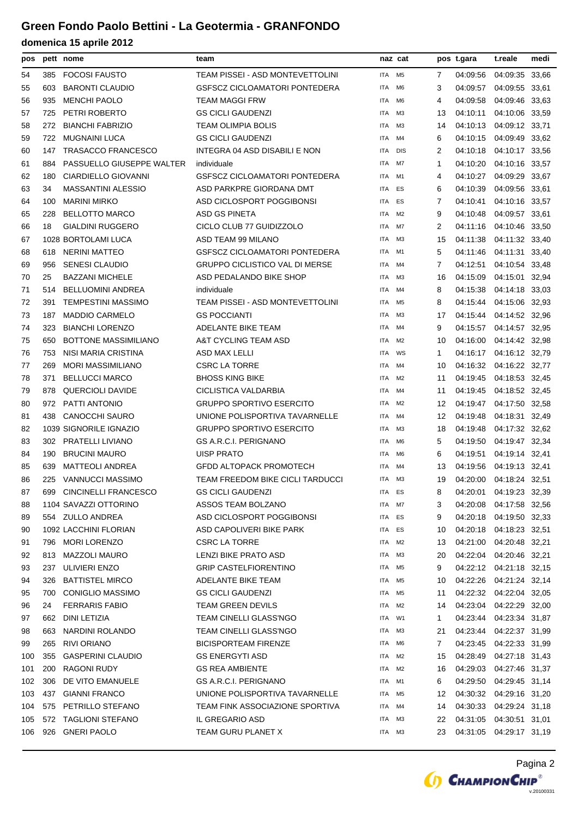| pos |     | pett nome                   | team                                  | naz cat    |                |    | pos t.gara                | t.reale                 | medi |
|-----|-----|-----------------------------|---------------------------------------|------------|----------------|----|---------------------------|-------------------------|------|
| 54  | 385 | <b>FOCOSI FAUSTO</b>        | TEAM PISSEI - ASD MONTEVETTOLINI      | <b>ITA</b> | M <sub>5</sub> | 7  | 04:09:56                  | 04:09:35 33,66          |      |
| 55  | 603 | <b>BARONTI CLAUDIO</b>      | <b>GSFSCZ CICLOAMATORI PONTEDERA</b>  | <b>ITA</b> | M <sub>6</sub> | 3  | 04:09:57                  | 04:09:55 33,61          |      |
| 56  | 935 | <b>MENCHI PAOLO</b>         | <b>TEAM MAGGI FRW</b>                 | <b>ITA</b> | M6             | 4  | 04:09:58                  | 04:09:46 33,63          |      |
| 57  | 725 | PETRI ROBERTO               | <b>GS CICLI GAUDENZI</b>              | ITA        | M <sub>3</sub> | 13 | 04:10:11                  | 04:10:06 33,59          |      |
| 58  | 272 | <b>BIANCHI FABRIZIO</b>     | <b>TEAM OLIMPIA BOLIS</b>             | <b>ITA</b> | ΜЗ             | 14 | 04:10:13                  | 04:09:12 33,71          |      |
| 59  | 722 | <b>MUGNAINI LUCA</b>        | <b>GS CICLI GAUDENZI</b>              | <b>ITA</b> | M4             | 6  | 04:10:15                  | 04:09:49 33,62          |      |
| 60  | 147 | <b>TRASACCO FRANCESCO</b>   | INTEGRA 04 ASD DISABILI E NON         | <b>ITA</b> | <b>DIS</b>     | 2  | 04:10:18                  | 04:10:17 33,56          |      |
| 61  | 884 | PASSUELLO GIUSEPPE WALTER   | individuale                           | <b>ITA</b> | M7             | 1  | 04:10:20                  | 04:10:16 33,57          |      |
| 62  | 180 | CIARDIELLO GIOVANNI         | <b>GSFSCZ CICLOAMATORI PONTEDERA</b>  | <b>ITA</b> | M1             | 4  | 04:10:27                  | 04:09:29 33,67          |      |
| 63  | 34  | <b>MASSANTINI ALESSIO</b>   | ASD PARKPRE GIORDANA DMT              | <b>ITA</b> | ES             | 6  | 04:10:39                  | 04:09:56 33,61          |      |
| 64  | 100 | <b>MARINI MIRKO</b>         | ASD CICLOSPORT POGGIBONSI             | <b>ITA</b> | ES             | 7  | 04:10:41                  | 04:10:16 33,57          |      |
| 65  | 228 | <b>BELLOTTO MARCO</b>       | <b>ASD GS PINETA</b>                  | <b>ITA</b> | M <sub>2</sub> | 9  | 04:10:48                  | 04:09:57 33,61          |      |
| 66  | 18  | <b>GIALDINI RUGGERO</b>     | CICLO CLUB 77 GUIDIZZOLO              | ITA        | M7             | 2  | 04:11:16                  | 04:10:46 33,50          |      |
| 67  |     | 1028 BORTOLAMI LUCA         | ASD TEAM 99 MILANO                    | <b>ITA</b> | M <sub>3</sub> | 15 | 04:11:38                  | 04:11:32 33,40          |      |
| 68  | 618 | <b>NERINI MATTEO</b>        | <b>GSFSCZ CICLOAMATORI PONTEDERA</b>  | ITA        | M1             | 5  | 04:11:46                  | 04:11:31 33,40          |      |
| 69  | 956 | <b>SENESI CLAUDIO</b>       | <b>GRUPPO CICLISTICO VAL DI MERSE</b> | ITA        | M4             | 7  | 04:12:51                  | 04:10:54 33,48          |      |
| 70  | 25  | <b>BAZZANI MICHELE</b>      | ASD PEDALANDO BIKE SHOP               | <b>ITA</b> | ΜЗ             | 16 | 04:15:09                  | 04:15:01 32,94          |      |
| 71  | 514 | <b>BELLUOMINI ANDREA</b>    | individuale                           | <b>ITA</b> | M4             | 8  | 04:15:38                  | 04:14:18 33,03          |      |
| 72  | 391 | <b>TEMPESTINI MASSIMO</b>   | TEAM PISSEI - ASD MONTEVETTOLINI      | <b>ITA</b> | M <sub>5</sub> | 8  |                           | 04:15:44 04:15:06 32,93 |      |
| 73  | 187 | <b>MADDIO CARMELO</b>       | <b>GS POCCIANTI</b>                   | ITA        | M <sub>3</sub> | 17 | 04:15:44 04:14:52 32,96   |                         |      |
| 74  | 323 | <b>BIANCHI LORENZO</b>      | ADELANTE BIKE TEAM                    | ITA        | M4             | 9  | 04:15:57                  | 04:14:57 32,95          |      |
| 75  | 650 | <b>BOTTONE MASSIMILIANO</b> | A&T CYCLING TEAM ASD                  | ITA        | M <sub>2</sub> | 10 | 04:16:00                  | 04:14:42 32,98          |      |
| 76  | 753 | NISI MARIA CRISTINA         | ASD MAX LELLI                         | <b>ITA</b> | WS             | 1  | 04:16:17  04:16:12  32,79 |                         |      |
| 77  | 269 | <b>MORI MASSIMILIANO</b>    | <b>CSRC LA TORRE</b>                  | <b>ITA</b> | M4             | 10 | 04:16:32                  | 04:16:22 32,77          |      |
| 78  | 371 | <b>BELLUCCI MARCO</b>       | <b>BHOSS KING BIKE</b>                | <b>ITA</b> | M <sub>2</sub> | 11 | 04:19:45                  | 04:18:53 32,45          |      |
| 79  | 878 | <b>QUERCIOLI DAVIDE</b>     | CICLISTICA VALDARBIA                  | <b>ITA</b> | M4             | 11 | 04:19:45                  | 04:18:52 32,45          |      |
| 80  | 972 | PATTI ANTONIO               | <b>GRUPPO SPORTIVO ESERCITO</b>       | <b>ITA</b> | M <sub>2</sub> | 12 | 04:19:47                  | 04:17:50 32,58          |      |
| 81  | 438 | <b>CANOCCHI SAURO</b>       | UNIONE POLISPORTIVA TAVARNELLE        | ITA        | M4             | 12 | 04:19:48                  | 04:18:31 32,49          |      |
| 82  |     | 1039 SIGNORILE IGNAZIO      | <b>GRUPPO SPORTIVO ESERCITO</b>       | <b>ITA</b> | ΜЗ             | 18 | 04:19:48                  | 04:17:32 32,62          |      |
| 83  | 302 | <b>PRATELLI LIVIANO</b>     | GS A.R.C.I. PERIGNANO                 | <b>ITA</b> | M6             | 5  | 04:19:50                  | 04:19:47 32,34          |      |
| 84  | 190 | <b>BRUCINI MAURO</b>        | <b>UISP PRATO</b>                     | <b>ITA</b> | M <sub>6</sub> | 6  | 04:19:51                  | 04:19:14 32,41          |      |
| 85  | 639 | <b>MATTEOLI ANDREA</b>      | <b>GFDD ALTOPACK PROMOTECH</b>        | <b>ITA</b> | M4             | 13 | 04:19:56                  | 04:19:13 32,41          |      |
| 86  | 225 | VANNUCCI MASSIMO            | TEAM FREEDOM BIKE CICLI TARDUCCI      | <b>ITA</b> | ΜЗ             | 19 | 04:20:00 04:18:24 32,51   |                         |      |
| 87  | 699 | <b>CINCINELLI FRANCESCO</b> | <b>GS CICLI GAUDENZI</b>              | ITA        | ES             | 8  | 04:20:01                  | 04:19:23 32,39          |      |
| 88  |     | 1104 SAVAZZI OTTORINO       | ASSOS TEAM BOLZANO                    | ITA        | M7             | 3  | 04:20:08                  | 04:17:58 32,56          |      |
| 89  |     | 554 ZULLO ANDREA            | ASD CICLOSPORT POGGIBONSI             | ITA        | ES             | 9  | 04:20:18                  | 04:19:50 32,33          |      |
| 90  |     | 1092 LACCHINI FLORIAN       | ASD CAPOLIVERI BIKE PARK              | ITA        | ES             | 10 | 04:20:18 04:18:23 32,51   |                         |      |
| 91  | 796 | MORI LORENZO                | <b>CSRC LA TORRE</b>                  | <b>ITA</b> | M2             | 13 | 04:21:00                  | 04:20:48 32,21          |      |
| 92  | 813 | MAZZOLI MAURO               | LENZI BIKE PRATO ASD                  | ITA        | ΜЗ             | 20 | 04:22:04                  | 04:20:46 32,21          |      |
| 93  | 237 | ULIVIERI ENZO               | <b>GRIP CASTELFIORENTINO</b>          | ITA        | M <sub>5</sub> | 9  | 04:22:12 04:21:18 32,15   |                         |      |
| 94  | 326 | <b>BATTISTEL MIRCO</b>      | ADELANTE BIKE TEAM                    | ITA        | M5             | 10 | 04:22:26                  | 04:21:24 32,14          |      |
| 95  | 700 | <b>CONIGLIO MASSIMO</b>     | <b>GS CICLI GAUDENZI</b>              | ITA        | M5             | 11 | 04:22:32                  | 04:22:04 32,05          |      |
| 96  | 24  | <b>FERRARIS FABIO</b>       | <b>TEAM GREEN DEVILS</b>              | ITA        | M2             | 14 | 04:23:04 04:22:29 32,00   |                         |      |
| 97  | 662 | DINI LETIZIA                | TEAM CINELLI GLASS'NGO                | ITA        | W1             | 1  | 04:23:44  04:23:34  31,87 |                         |      |
| 98  | 663 | NARDINI ROLANDO             | TEAM CINELLI GLASS'NGO                | ITA        | ΜЗ             | 21 | 04:23:44 04:22:37 31,99   |                         |      |
| 99  | 265 | RIVI ORIANO                 | <b>BICISPORTEAM FIRENZE</b>           | ITA        | M6             | 7  | 04:23:45                  | 04:22:33 31,99          |      |
| 100 | 355 | <b>GASPERINI CLAUDIO</b>    | <b>GS ENERGYTI ASD</b>                | ITA        | M2             | 15 | 04:28:49                  | 04:27:18 31,43          |      |
| 101 | 200 | <b>RAGONI RUDY</b>          | <b>GS REA AMBIENTE</b>                | ITA        | M2             | 16 | 04:29:03                  | 04:27:46 31,37          |      |
| 102 | 306 | DE VITO EMANUELE            | <b>GS A.R.C.I. PERIGNANO</b>          | ITA        | M1             | 6  | 04:29:50 04:29:45 31,14   |                         |      |
| 103 | 437 | <b>GIANNI FRANCO</b>        | UNIONE POLISPORTIVA TAVARNELLE        | ITA        | M5             | 12 | 04:30:32 04:29:16 31,20   |                         |      |
| 104 | 575 | PETRILLO STEFANO            | TEAM FINK ASSOCIAZIONE SPORTIVA       | ITA        | M4             | 14 | 04:30:33                  | 04:29:24 31,18          |      |
| 105 | 572 | <b>TAGLIONI STEFANO</b>     | IL GREGARIO ASD                       | ITA        | ΜЗ             | 22 | 04:31:05                  | 04:30:51 31,01          |      |
| 106 | 926 | <b>GNERI PAOLO</b>          | TEAM GURU PLANET X                    | ITA M3     |                | 23 | 04:31:05 04:29:17 31,19   |                         |      |
|     |     |                             |                                       |            |                |    |                           |                         |      |

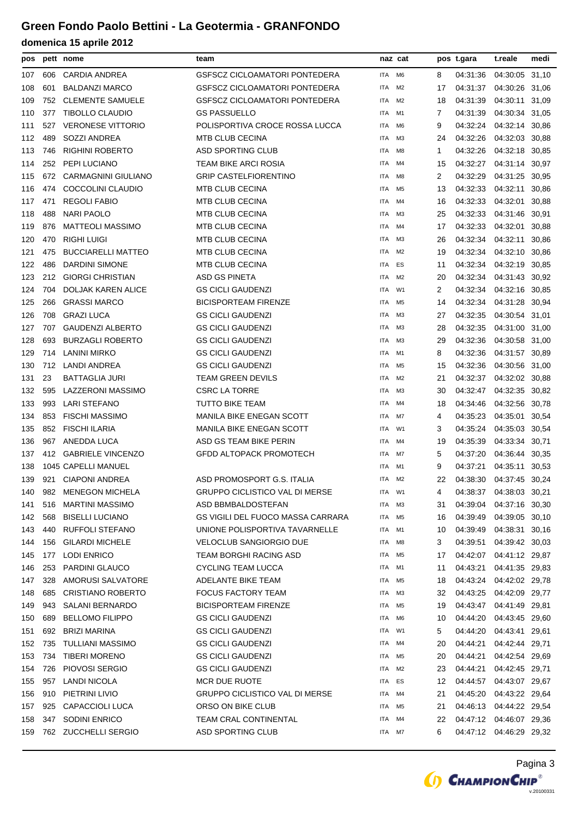| pos        |            | pett nome                                       | team                                                 | naz cat    |                |              | pos t.gara              | t.reale                          | medi  |
|------------|------------|-------------------------------------------------|------------------------------------------------------|------------|----------------|--------------|-------------------------|----------------------------------|-------|
| 107        | 606        | <b>CARDIA ANDREA</b>                            | GSFSCZ CICLOAMATORI PONTEDERA                        | <b>ITA</b> | M <sub>6</sub> | 8            | 04:31:36                | 04:30:05 31,10                   |       |
| 108        | 601        | <b>BALDANZI MARCO</b>                           | <b>GSFSCZ CICLOAMATORI PONTEDERA</b>                 | <b>ITA</b> | M2             | 17           | 04:31:37                | 04:30:26 31,06                   |       |
| 109        | 752        | <b>CLEMENTE SAMUELE</b>                         | GSFSCZ CICLOAMATORI PONTEDERA                        | ITA        | M2             | 18           | 04:31:39                | 04:30:11 31,09                   |       |
| 110        | 377        | <b>TIBOLLO CLAUDIO</b>                          | <b>GS PASSUELLO</b>                                  | ITA        | M1             | 7            | 04:31:39                | 04:30:34 31,05                   |       |
| 111        | 527        | <b>VERONESE VITTORIO</b>                        | POLISPORTIVA CROCE ROSSA LUCCA                       | <b>ITA</b> | M6             | 9            | 04:32:24                | 04:32:14 30,86                   |       |
| 112        | 489        | SOZZI ANDREA                                    | <b>MTB CLUB CECINA</b>                               | ITA        | ΜЗ             | 24           | 04:32:26                | 04:32:03 30,88                   |       |
| 113        | 746        | <b>RIGHINI ROBERTO</b>                          | <b>ASD SPORTING CLUB</b>                             | ITA        | M8             | $\mathbf{1}$ | 04:32:26                | 04:32:18 30,85                   |       |
| 114        | 252        | PEPI LUCIANO                                    | TEAM BIKE ARCI ROSIA                                 | ITA        | M4             | 15           | 04:32:27                | 04:31:14 30,97                   |       |
| 115        | 672        | <b>CARMAGNINI GIULIANO</b>                      | <b>GRIP CASTELFIORENTINO</b>                         | ITA        | M8             | 2            | 04:32:29                | 04:31:25 30,95                   |       |
| 116        | 474        | COCCOLINI CLAUDIO                               | <b>MTB CLUB CECINA</b>                               | ITA        | M5             | 13           | 04:32:33                | 04:32:11 30,86                   |       |
| 117        | 471        | <b>REGOLI FABIO</b>                             | <b>MTB CLUB CECINA</b>                               | <b>ITA</b> | M4             | 16           | 04:32:33                | 04:32:01 30,88                   |       |
| 118        | 488        | <b>NARI PAOLO</b>                               | <b>MTB CLUB CECINA</b>                               | ITA        | ΜЗ             | 25           | 04:32:33                | 04:31:46                         | 30,91 |
| 119        | 876        | <b>MATTEOLI MASSIMO</b>                         | <b>MTB CLUB CECINA</b>                               | <b>ITA</b> | M4             | 17           | 04:32:33                | 04:32:01                         | 30,88 |
| 120        | 470        | <b>RIGHI LUIGI</b>                              | <b>MTB CLUB CECINA</b>                               | ITA        | ΜЗ             | 26           | 04:32:34                | 04:32:11                         | 30,86 |
| 121        | 475        | <b>BUCCIARELLI MATTEO</b>                       | <b>MTB CLUB CECINA</b>                               | ITA        | M2             | 19           | 04:32:34                | 04:32:10                         | 30,86 |
| 122        | 486        | <b>DARDINI SIMONE</b>                           | <b>MTB CLUB CECINA</b>                               | <b>ITA</b> | ES             | 11           | 04:32:34                | 04:32:19 30,85                   |       |
| 123        | 212        | <b>GIORGI CHRISTIAN</b>                         | <b>ASD GS PINETA</b>                                 | <b>ITA</b> | M2             | 20           | 04:32:34                | 04:31:43 30,92                   |       |
| 124        | 704        | <b>DOLJAK KAREN ALICE</b>                       | <b>GS CICLI GAUDENZI</b>                             | ITA        | W1             | 2            | 04:32:34                | 04:32:16                         | 30,85 |
| 125        | 266        | <b>GRASSI MARCO</b>                             | <b>BICISPORTEAM FIRENZE</b>                          | <b>ITA</b> | M5             | 14           | 04:32:34                | 04:31:28                         | 30,94 |
| 126        | 708        | <b>GRAZI LUCA</b>                               | <b>GS CICLI GAUDENZI</b>                             | ITA        | MЗ             | 27           | 04:32:35                | 04:30:54 31,01                   |       |
| 127        | 707        | <b>GAUDENZI ALBERTO</b>                         | <b>GS CICLI GAUDENZI</b>                             | ITA        | ΜЗ             | 28           | 04:32:35                | 04:31:00 31,00                   |       |
| 128        | 693        | <b>BURZAGLI ROBERTO</b>                         | <b>GS CICLI GAUDENZI</b>                             | ITA        | ΜЗ             | 29           | 04:32:36                | 04:30:58 31,00                   |       |
| 129        | 714        | <b>LANINI MIRKO</b>                             | <b>GS CICLI GAUDENZI</b>                             | <b>ITA</b> | M1             | 8            | 04:32:36                | 04:31:57 30,89                   |       |
| 130        | 712        | <b>LANDI ANDREA</b>                             | <b>GS CICLI GAUDENZI</b>                             | ITA        | M5             | 15           | 04:32:36                | 04:30:56 31,00                   |       |
| 131        | 23         | BATTAGLIA JURI                                  | <b>TEAM GREEN DEVILS</b>                             | <b>ITA</b> | M2             | 21           | 04:32:37                | 04:32:02 30,88                   |       |
| 132        | 595        | LAZZERONI MASSIMO                               | <b>CSRC LA TORRE</b>                                 | <b>ITA</b> | ΜЗ             | 30           | 04:32:47                | 04:32:35 30,82                   |       |
| 133        | 993        | <b>LARI STEFANO</b>                             | <b>TUTTO BIKE TEAM</b>                               | ITA        | M4             | 18           | 04:34:46                | 04:32:56                         | 30,78 |
| 134        | 853        | <b>FISCHI MASSIMO</b>                           | MANILA BIKE ENEGAN SCOTT                             | ITA        | M7             | 4            | 04:35:23                | 04:35:01 30,54                   |       |
| 135        | 852        | <b>FISCHI ILARIA</b>                            | <b>MANILA BIKE ENEGAN SCOTT</b>                      | ITA        | W1             | 3            | 04:35:24                | 04:35:03 30.54                   |       |
| 136        | 967        | ANEDDA LUCA                                     | ASD GS TEAM BIKE PERIN                               | ITA        | M4             | 19           | 04:35:39                | 04:33:34                         | 30,71 |
| 137        | 412        | <b>GABRIELE VINCENZO</b>                        | GFDD ALTOPACK PROMOTECH                              | <b>ITA</b> | M7             | 5            | 04:37:20                | 04:36:44 30,35                   |       |
| 138        |            | 1045 CAPELLI MANUEL                             |                                                      | ITA        | M1             | 9            | 04:37:21                | 04:35:11                         | 30,53 |
| 139        |            | 921 CIAPONI ANDREA                              | ASD PROMOSPORT G.S. ITALIA                           | ITA        | M2             | 22           | 04:38:30                | 04:37:45 30,24                   |       |
| 140        | 982        | <b>MENEGON MICHELA</b>                          | GRUPPO CICLISTICO VAL DI MERSE                       | ITA W1     |                | 4            | 04:38:37                | 04:38:03 30,21                   |       |
| 141        | 516        | <b>MARTINI MASSIMO</b>                          | ASD BBMBALDOSTEFAN                                   | ITA        | МЗ             | 31           | 04:39:04                | 04:37:16 30,30                   |       |
| 142        | 568        | <b>BISELLI LUCIANO</b>                          | <b>GS VIGILI DEL FUOCO MASSA CARRARA</b>             | ITA        | M <sub>5</sub> | 16           | 04:39:49                | 04:39:05 30,10                   |       |
| 143        | 440        | RUFFOLI STEFANO                                 | UNIONE POLISPORTIVA TAVARNELLE                       | ITA        | M1             | 10           | 04:39:49                | 04:38:31 30,16                   |       |
| 144        | 156        | <b>GILARDI MICHELE</b>                          | <b>VELOCLUB SANGIORGIO DUE</b>                       | ITA        | M8             | 3            | 04:39:51                | 04:39:42 30,03                   |       |
| 145        | 177        | <b>LODI ENRICO</b>                              | TEAM BORGHI RACING ASD                               | ITA        | M <sub>5</sub> | 17           | 04:42:07                | 04:41:12 29,87                   |       |
| 146        | 253        | PARDINI GLAUCO                                  | <b>CYCLING TEAM LUCCA</b>                            | ITA        | M1             | 11           | 04:43:21                | 04:41:35 29,83                   |       |
| 147        | 328        | AMORUSI SALVATORE                               | ADELANTE BIKE TEAM                                   | ITA        | M5             | 18           | 04:43:24                | 04:42:02 29,78                   |       |
| 148        | 685        | <b>CRISTIANO ROBERTO</b>                        | FOCUS FACTORY TEAM                                   | ITA        | ΜЗ             | 32           | 04:43:25                | 04:42:09 29,77                   |       |
| 149        | 943        | <b>SALANI BERNARDO</b>                          | <b>BICISPORTEAM FIRENZE</b>                          | ITA        | M <sub>5</sub> | 19           | 04:43:47                | 04:41:49 29,81                   |       |
| 150        | 689        | <b>BELLOMO FILIPPO</b>                          | <b>GS CICLI GAUDENZI</b>                             | ITA        | M6             | 10           | 04:44:20                | 04:43:45 29,60                   |       |
| 151        | 692        | <b>BRIZI MARINA</b>                             | <b>GS CICLI GAUDENZI</b><br><b>GS CICLI GAUDENZI</b> | ITA        | W1             | 5            | 04:44:20                | 04:43:41 29,61<br>04:42:44 29,71 |       |
| 152<br>153 | 735<br>734 | <b>TULLIANI MASSIMO</b><br><b>TIBERI MORENO</b> | <b>GS CICLI GAUDENZI</b>                             | ITA<br>ITA | M4<br>M5       | 20<br>20     | 04:44:21<br>04:44:21    | 04:42:54 29,69                   |       |
|            | 726        | PIOVOSI SERGIO                                  | <b>GS CICLI GAUDENZI</b>                             | ITA        | M2             | 23           | 04:44:21                | 04:42:45 29,71                   |       |
| 154<br>155 | 957        | <b>LANDI NICOLA</b>                             | MCR DUE RUOTE                                        | ITA        | ES             | 12           | 04:44:57 04:43:07 29,67 |                                  |       |
| 156        | 910        | PIETRINI LIVIO                                  | <b>GRUPPO CICLISTICO VAL DI MERSE</b>                | ITA        | M4             | 21           | 04:45:20                | 04:43:22 29,64                   |       |
| 157        | 925        | CAPACCIOLI LUCA                                 | ORSO ON BIKE CLUB                                    | ITA        | M <sub>5</sub> | 21           | 04:46:13                | 04:44:22 29,54                   |       |
| 158        | 347        | <b>SODINI ENRICO</b>                            | TEAM CRAL CONTINENTAL                                | ITA        | M4             | 22           | 04:47:12 04:46:07 29,36 |                                  |       |
| 159        |            | 762 ZUCCHELLI SERGIO                            | ASD SPORTING CLUB                                    | ITA M7     |                | 6            |                         | 04:47:12 04:46:29 29,32          |       |
|            |            |                                                 |                                                      |            |                |              |                         |                                  |       |

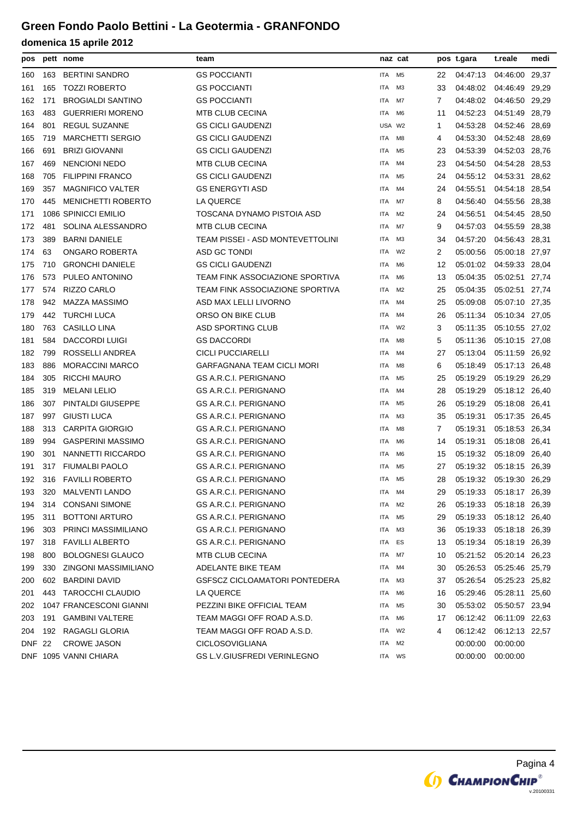| pos |     | pett nome                 | team                               | naz cat    |                |    | pos t.gara                | t.reale                 | medi |
|-----|-----|---------------------------|------------------------------------|------------|----------------|----|---------------------------|-------------------------|------|
| 160 | 163 | <b>BERTINI SANDRO</b>     | <b>GS POCCIANTI</b>                | ITA        | M <sub>5</sub> | 22 | 04:47:13                  | 04:46:00 29,37          |      |
| 161 | 165 | <b>TOZZI ROBERTO</b>      | <b>GS POCCIANTI</b>                | ITA        | MЗ             | 33 | 04:48:02                  | 04:46:49 29,29          |      |
| 162 | 171 | <b>BROGIALDI SANTINO</b>  | <b>GS POCCIANTI</b>                | ITA        | M7             | 7  | 04:48:02 04:46:50 29,29   |                         |      |
| 163 | 483 | <b>GUERRIERI MORENO</b>   | <b>MTB CLUB CECINA</b>             | ITA        | M6             | 11 | 04:52:23                  | 04:51:49 28,79          |      |
| 164 | 801 | <b>REGUL SUZANNE</b>      | <b>GS CICLI GAUDENZI</b>           | USA W2     |                | 1  | 04:53:28                  | 04:52:46 28,69          |      |
| 165 | 719 | <b>MARCHETTI SERGIO</b>   | <b>GS CICLI GAUDENZI</b>           | <b>ITA</b> | M8             | 4  | 04:53:30                  | 04:52:48 28,69          |      |
| 166 | 691 | <b>BRIZI GIOVANNI</b>     | <b>GS CICLI GAUDENZI</b>           | <b>ITA</b> | M <sub>5</sub> | 23 | 04:53:39                  | 04:52:03 28,76          |      |
| 167 | 469 | <b>NENCIONI NEDO</b>      | <b>MTB CLUB CECINA</b>             | <b>ITA</b> | M4             | 23 | 04:54:50                  | 04:54:28 28,53          |      |
| 168 | 705 | <b>FILIPPINI FRANCO</b>   | <b>GS CICLI GAUDENZI</b>           | ITA        | M <sub>5</sub> | 24 | 04:55:12 04:53:31 28,62   |                         |      |
| 169 | 357 | <b>MAGNIFICO VALTER</b>   | <b>GS ENERGYTI ASD</b>             | ITA        | M4             | 24 | 04:55:51                  | 04:54:18 28.54          |      |
| 170 | 445 | <b>MENICHETTI ROBERTO</b> | LA QUERCE                          | ITA        | M7             | 8  | 04:56:40                  | 04:55:56 28,38          |      |
| 171 |     | 1086 SPINICCI EMILIO      | TOSCANA DYNAMO PISTOIA ASD         | ITA        | M <sub>2</sub> | 24 | 04:56:51                  | 04:54:45 28,50          |      |
| 172 | 481 | SOLINA ALESSANDRO         | <b>MTB CLUB CECINA</b>             | <b>ITA</b> | M7             | 9  | 04:57:03                  | 04:55:59 28,38          |      |
| 173 | 389 | <b>BARNI DANIELE</b>      | TEAM PISSEI - ASD MONTEVETTOLINI   | ITA        | MЗ             | 34 | 04:57:20                  | 04:56:43 28,31          |      |
| 174 | 63  | ONGARO ROBERTA            | ASD GC TONDI                       | ITA        | W <sub>2</sub> | 2  | 05:00:56                  | 05:00:18 27,97          |      |
| 175 | 710 | <b>GRONCHI DANIELE</b>    | <b>GS CICLI GAUDENZI</b>           | ITA        | M6             | 12 | 05:01:02                  | 04:59:33 28,04          |      |
| 176 | 573 | PULEO ANTONINO            | TEAM FINK ASSOCIAZIONE SPORTIVA    | ITA        | M <sub>6</sub> | 13 | 05:04:35                  | 05:02:51 27,74          |      |
| 177 | 574 | <b>RIZZO CARLO</b>        | TEAM FINK ASSOCIAZIONE SPORTIVA    | ITA        | M2             | 25 | 05:04:35                  | 05:02:51 27,74          |      |
| 178 | 942 | <b>MAZZA MASSIMO</b>      | ASD MAX LELLI LIVORNO              | <b>ITA</b> | M4             | 25 | 05:09:08                  | 05:07:10 27,35          |      |
| 179 | 442 | <b>TURCHI LUCA</b>        | ORSO ON BIKE CLUB                  | <b>ITA</b> | M4             | 26 | 05:11:34                  | 05:10:34 27,05          |      |
| 180 | 763 | <b>CASILLO LINA</b>       | <b>ASD SPORTING CLUB</b>           | <b>ITA</b> | W <sub>2</sub> | 3  | 05:11:35                  | 05:10:55 27,02          |      |
| 181 | 584 | <b>DACCORDI LUIGI</b>     | <b>GS DACCORDI</b>                 | ITA        | M8             | 5  | 05:11:36                  | 05:10:15 27,08          |      |
| 182 | 799 | ROSSELLI ANDREA           | <b>CICLI PUCCIARELLI</b>           | ITA        | M4             | 27 | 05:13:04                  | 05:11:59 26,92          |      |
| 183 | 886 | <b>MORACCINI MARCO</b>    | GARFAGNANA TEAM CICLI MORI         | <b>ITA</b> | M8             | 6  | 05:18:49                  | 05:17:13 26,48          |      |
| 184 | 305 | <b>RICCHI MAURO</b>       | <b>GS A.R.C.I. PERIGNANO</b>       | ITA        | M <sub>5</sub> | 25 | 05:19:29                  | 05:19:29 26,29          |      |
| 185 | 319 | <b>MELANI LELIO</b>       | <b>GS A.R.C.I. PERIGNANO</b>       | ITA        | M4             | 28 | 05:19:29                  | 05:18:12 26,40          |      |
| 186 | 307 | PINTALDI GIUSEPPE         | GS A.R.C.I. PERIGNANO              | <b>ITA</b> | M <sub>5</sub> | 26 | 05:19:29                  | 05:18:08 26,41          |      |
| 187 | 997 | <b>GIUSTI LUCA</b>        | <b>GS A.R.C.I. PERIGNANO</b>       | ITA        | ΜЗ             | 35 | 05:19:31                  | 05:17:35 26,45          |      |
| 188 | 313 | <b>CARPITA GIORGIO</b>    | <b>GS A.R.C.I. PERIGNANO</b>       | ITA        | M8             | 7  | 05:19:31                  | 05:18:53 26,34          |      |
| 189 | 994 | <b>GASPERINI MASSIMO</b>  | <b>GS A.R.C.I. PERIGNANO</b>       | ITA        | M <sub>6</sub> | 14 | 05:19:31                  | 05:18:08 26,41          |      |
| 190 | 301 | NANNETTI RICCARDO         | <b>GS A.R.C.I. PERIGNANO</b>       | ITA        | M6             | 15 | 05:19:32                  | 05:18:09 26.40          |      |
| 191 | 317 | <b>FIUMALBI PAOLO</b>     | <b>GS A.R.C.I. PERIGNANO</b>       | ITA        | M <sub>5</sub> | 27 | 05:19:32  05:18:15  26,39 |                         |      |
| 192 |     | 316 FAVILLI ROBERTO       | <b>GS A.R.C.I. PERIGNANO</b>       | <b>ITA</b> | M5             | 28 | 05:19:32  05:19:30  26,29 |                         |      |
| 193 |     | 320 MALVENTI LANDO        | GS A.R.C.I. PERIGNANO              | ITA        | M4             | 29 | 05:19:33                  | 05:18:17 26,39          |      |
| 194 | 314 | <b>CONSANI SIMONE</b>     | GS A.R.C.I. PERIGNANO              | ITA        | M2             | 26 | 05:19:33 05:18:18 26,39   |                         |      |
| 195 | 311 | <b>BOTTONI ARTURO</b>     | <b>GS A.R.C.I. PERIGNANO</b>       | ITA        | M5             | 29 | 05:19:33                  | 05:18:12 26,40          |      |
| 196 | 303 | PRINCI MASSIMILIANO       | <b>GS A.R.C.I. PERIGNANO</b>       | ITA        | M3             | 36 | 05:19:33                  | 05:18:18 26,39          |      |
| 197 | 318 | <b>FAVILLI ALBERTO</b>    | <b>GS A.R.C.I. PERIGNANO</b>       | ITA        | ES             | 13 | 05:19:34 05:18:19 26,39   |                         |      |
| 198 | 800 | <b>BOLOGNESI GLAUCO</b>   | <b>MTB CLUB CECINA</b>             | ITA        | M7             | 10 | 05:21:52 05:20:14 26.23   |                         |      |
| 199 | 330 | ZINGONI MASSIMILIANO      | <b>ADELANTE BIKE TEAM</b>          | ITA        | M4             | 30 | 05:26:53                  | 05:25:46 25,79          |      |
| 200 | 602 | <b>BARDINI DAVID</b>      | GSFSCZ CICLOAMATORI PONTEDERA      | ITA        | M3             | 37 | 05:26:54                  | 05:25:23 25,82          |      |
| 201 | 443 | TAROCCHI CLAUDIO          | LA QUERCE                          | ITA        | M6             | 16 | 05:29:46                  | 05:28:11 25,60          |      |
| 202 |     | 1047 FRANCESCONI GIANNI   | PEZZINI BIKE OFFICIAL TEAM         | ITA        | M5             | 30 | 05:53:02                  | 05:50:57 23,94          |      |
| 203 | 191 | <b>GAMBINI VALTERE</b>    | TEAM MAGGI OFF ROAD A.S.D.         | ITA        | M6             | 17 | 06:12:42 06:11:09 22,63   |                         |      |
| 204 | 192 | RAGAGLI GLORIA            | TEAM MAGGI OFF ROAD A.S.D.         | ITA        | W2             | 4  |                           | 06:12:42 06:12:13 22,57 |      |
| DNF | 22  | <b>CROWE JASON</b>        | <b>CICLOSOVIGLIANA</b>             | ITA        | M2             |    | 00:00:00                  | 00:00:00                |      |
|     |     | DNF 1095 VANNI CHIARA     | <b>GS L.V.GIUSFREDI VERINLEGNO</b> | ITA WS     |                |    | 00:00:00                  | 00:00:00                |      |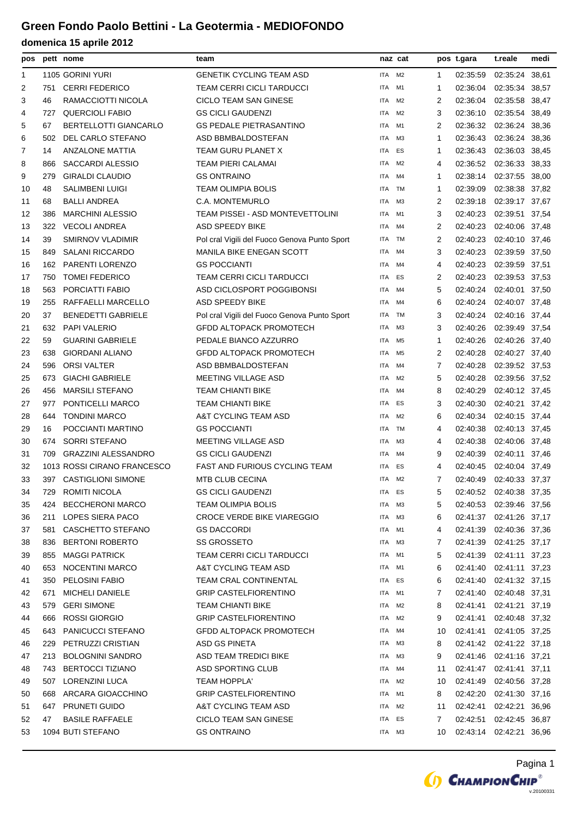| pos |     | pett nome                   | team                                         |            | naz cat        |                | pos t.gara | t.reale                 | medi  |
|-----|-----|-----------------------------|----------------------------------------------|------------|----------------|----------------|------------|-------------------------|-------|
| 1   |     | 1105 GORINI YURI            | <b>GENETIK CYCLING TEAM ASD</b>              | <b>ITA</b> | M <sub>2</sub> | 1              | 02:35:59   | 02:35:24 38,61          |       |
| 2   | 751 | <b>CERRI FEDERICO</b>       | <b>TEAM CERRI CICLI TARDUCCI</b>             | ITA        | M1             | -1             | 02:36:04   | 02:35:34                | 38,57 |
| 3   | 46  | RAMACCIOTTI NICOLA          | <b>CICLO TEAM SAN GINESE</b>                 | <b>ITA</b> | M <sub>2</sub> | 2              | 02:36:04   | 02:35:58 38,47          |       |
| 4   | 727 | <b>QUERCIOLI FABIO</b>      | <b>GS CICLI GAUDENZI</b>                     | <b>ITA</b> | M <sub>2</sub> | 3              | 02:36:10   | 02:35:54 38,49          |       |
| 5   | 67  | BERTELLOTTI GIANCARLO       | <b>GS PEDALE PIETRASANTINO</b>               | <b>ITA</b> | M1             | 2              | 02:36:32   | 02:36:24 38,36          |       |
| 6   | 502 | DEL CARLO STEFANO           | ASD BBMBALDOSTEFAN                           | <b>ITA</b> | M3             | 1              | 02:36:43   | 02:36:24 38,36          |       |
| 7   | 14  | <b>ANZALONE MATTIA</b>      | TEAM GURU PLANET X                           | ITA        | ES             | 1              | 02:36:43   | 02:36:03 38,45          |       |
| 8   | 866 | <b>SACCARDI ALESSIO</b>     | <b>TEAM PIERI CALAMAI</b>                    | <b>ITA</b> | M <sub>2</sub> | 4              | 02:36:52   | 02:36:33 38,33          |       |
| 9   | 279 | <b>GIRALDI CLAUDIO</b>      | <b>GS ONTRAINO</b>                           | ITA        | M4             | 1              | 02:38:14   | 02:37:55 38,00          |       |
| 10  | 48  | <b>SALIMBENI LUIGI</b>      | <b>TEAM OLIMPIA BOLIS</b>                    | ITA        | <b>TM</b>      | 1              | 02:39:09   | 02:38:38 37,82          |       |
| 11  | 68  | <b>BALLI ANDREA</b>         | C.A. MONTEMURLO                              | <b>ITA</b> | M <sub>3</sub> | $\overline{2}$ | 02:39:18   | 02:39:17 37,67          |       |
| 12  | 386 | <b>MARCHINI ALESSIO</b>     | TEAM PISSEI - ASD MONTEVETTOLINI             | <b>ITA</b> | M1             | 3              | 02:40:23   | 02:39:51 37,54          |       |
| 13  | 322 | <b>VECOLI ANDREA</b>        | ASD SPEEDY BIKE                              | ITA        | M4             | 2              | 02:40:23   | 02:40:06 37,48          |       |
| 14  | 39  | <b>SMIRNOV VLADIMIR</b>     | Pol cral Vigili del Fuoco Genova Punto Sport | <b>ITA</b> | <b>TM</b>      | $\overline{2}$ | 02:40:23   | 02:40:10 37,46          |       |
| 15  | 849 | <b>SALANI RICCARDO</b>      | <b>MANILA BIKE ENEGAN SCOTT</b>              | <b>ITA</b> | M4             | 3              | 02:40:23   | 02:39:59 37,50          |       |
| 16  | 162 | PARENTI LORENZO             | <b>GS POCCIANTI</b>                          | <b>ITA</b> | M4             | 4              | 02:40:23   | 02:39:59 37,51          |       |
| 17  | 750 | <b>TOMEI FEDERICO</b>       | <b>TEAM CERRI CICLI TARDUCCI</b>             | ITA        | ES             | 2              | 02:40:23   | 02:39:53 37,53          |       |
| 18  | 563 | PORCIATTI FABIO             | ASD CICLOSPORT POGGIBONSI                    | <b>ITA</b> | M4             | 5              | 02:40:24   | 02:40:01 37,50          |       |
| 19  | 255 | RAFFAELLI MARCELLO          | ASD SPEEDY BIKE                              | ITA        | M4             | 6              | 02:40:24   | 02:40:07 37,48          |       |
| 20  | 37  | <b>BENEDETTI GABRIELE</b>   | Pol cral Vigili del Fuoco Genova Punto Sport | <b>ITA</b> | <b>TM</b>      | 3              | 02:40:24   | 02:40:16 37,44          |       |
| 21  | 632 | <b>PAPI VALERIO</b>         | <b>GFDD ALTOPACK PROMOTECH</b>               | <b>ITA</b> | ΜЗ             | 3              | 02:40:26   | 02:39:49 37,54          |       |
| 22  | 59  | <b>GUARINI GABRIELE</b>     | PEDALE BIANCO AZZURRO                        | <b>ITA</b> | M <sub>5</sub> | 1              | 02:40:26   | 02:40:26 37,40          |       |
| 23  | 638 | GIORDANI ALIANO             | <b>GFDD ALTOPACK PROMOTECH</b>               | ITA        | M5             | 2              | 02:40:28   | 02:40:27 37,40          |       |
| 24  | 596 | <b>ORSI VALTER</b>          | ASD BBMBALDOSTEFAN                           | <b>ITA</b> | M4             | 7              | 02:40:28   | 02:39:52 37,53          |       |
| 25  | 673 | <b>GIACHI GABRIELE</b>      | MEETING VILLAGE ASD                          | <b>ITA</b> | M <sub>2</sub> | 5              | 02:40:28   | 02:39:56 37,52          |       |
| 26  | 456 | <b>MARSILI STEFANO</b>      | <b>TEAM CHIANTI BIKE</b>                     | <b>ITA</b> | M4             | 8              | 02:40:29   | 02:40:12 37,45          |       |
| 27  | 977 | PONTICELLI MARCO            | <b>TEAM CHIANTI BIKE</b>                     | <b>ITA</b> | ES             | 3              | 02:40:30   | 02:40:21 37,42          |       |
| 28  | 644 | <b>TONDINI MARCO</b>        | A&T CYCLING TEAM ASD                         | <b>ITA</b> | M <sub>2</sub> | 6              | 02:40:34   | 02:40:15 37,44          |       |
| 29  | 16  | POCCIANTI MARTINO           | <b>GS POCCIANTI</b>                          | <b>ITA</b> | TM             | 4              | 02:40:38   | 02:40:13 37,45          |       |
| 30  | 674 | <b>SORRI STEFANO</b>        | MEETING VILLAGE ASD                          | ITA        | M3             | 4              | 02:40:38   | 02:40:06 37,48          |       |
| 31  | 709 | <b>GRAZZINI ALESSANDRO</b>  | <b>GS CICLI GAUDENZI</b>                     | <b>ITA</b> | M4             | 9              | 02:40:39   | 02:40:11 37,46          |       |
| 32  |     | 1013 ROSSI CIRANO FRANCESCO | <b>FAST AND FURIOUS CYCLING TEAM</b>         | ITA        | ES             | 4              | 02:40:45   | 02:40:04 37,49          |       |
| 33  |     | 397 CASTIGLIONI SIMONE      | <b>MTB CLUB CECINA</b>                       | <b>ITA</b> | M <sub>2</sub> | 7              | 02:40:49   | 02:40:33 37,37          |       |
| 34  | 729 | ROMITI NICOLA               | <b>GS CICLI GAUDENZI</b>                     | ITA ES     |                | 5              |            | 02:40:52 02:40:38 37,35 |       |
| 35  | 424 | <b>BECCHERONI MARCO</b>     | <b>TEAM OLIMPIA BOLIS</b>                    | ITA M3     |                | 5              |            | 02:40:53 02:39:46 37,56 |       |
| 36  | 211 | LOPES SIERA PACO            | <b>CROCE VERDE BIKE VIAREGGIO</b>            | ITA        | ΜЗ             | 6              |            | 02:41:37 02:41:26 37,17 |       |
| 37  | 581 | CASCHETTO STEFANO           | <b>GS DACCORDI</b>                           | ITA        | M1             | 4              | 02:41:39   | 02:40:36 37,36          |       |
| 38  | 836 | <b>BERTONI ROBERTO</b>      | <b>SS GROSSETO</b>                           | ITA        | ΜЗ             | 7              | 02:41:39   | 02:41:25 37,17          |       |
| 39  | 855 | <b>MAGGI PATRICK</b>        | <b>TEAM CERRI CICLI TARDUCCI</b>             | ITA        | M <sub>1</sub> | 5              | 02:41:39   | 02:41:11 37,23          |       |
| 40  | 653 | NOCENTINI MARCO             | A&T CYCLING TEAM ASD                         | ITA        | M1             | 6              | 02:41:40   | 02:41:11 37,23          |       |
| 41  | 350 | PELOSINI FABIO              | <b>TEAM CRAL CONTINENTAL</b>                 | ITA ES     |                | 6              | 02:41:40   | 02:41:32 37,15          |       |
| 42  | 671 | <b>MICHELI DANIELE</b>      | <b>GRIP CASTELFIORENTINO</b>                 | ITA        | M1             | 7              | 02:41:40   | 02:40:48 37,31          |       |
| 43  | 579 | <b>GERI SIMONE</b>          | <b>TEAM CHIANTI BIKE</b>                     | ITA        | M2             | 8              | 02:41:41   | 02:41:21 37,19          |       |
| 44  | 666 | ROSSI GIORGIO               | <b>GRIP CASTELFIORENTINO</b>                 | ITA        | M2             | 9              | 02:41:41   | 02:40:48 37,32          |       |
| 45  | 643 | PANICUCCI STEFANO           | <b>GFDD ALTOPACK PROMOTECH</b>               | ITA        | M4             | 10             | 02:41:41   | 02:41:05 37,25          |       |
| 46  | 229 | PETRUZZI CRISTIAN           | <b>ASD GS PINETA</b>                         | ITA        | ΜЗ             | 8              | 02:41:42   | 02:41:22 37,18          |       |
| 47  | 213 | <b>BOLOGNINI SANDRO</b>     | <b>ASD TEAM TREDICI BIKE</b>                 | ITA        | ΜЗ             | 9              | 02:41:46   | 02:41:16 37,21          |       |
| 48  | 743 | <b>BERTOCCI TIZIANO</b>     | ASD SPORTING CLUB                            | ITA        | M4             | 11             | 02:41:47   | 02:41:41 37,11          |       |
| 49  | 507 | LORENZINI LUCA              | <b>TEAM HOPPLA'</b>                          | ITA        | M2             | 10             | 02:41:49   | 02:40:56 37,28          |       |
| 50  | 668 | ARCARA GIOACCHINO           | <b>GRIP CASTELFIORENTINO</b>                 | ITA        | M1             | 8              | 02:42:20   | 02:41:30 37,16          |       |
| 51  | 647 | PRUNETI GUIDO               | A&T CYCLING TEAM ASD                         | ITA        | M2             | 11             | 02:42:41   | 02:42:21 36,96          |       |
| 52  | 47  | <b>BASILE RAFFAELE</b>      | CICLO TEAM SAN GINESE                        | ITA        | ES             | 7              | 02:42:51   | 02:42:45 36,87          |       |
| 53  |     | 1094 BUTI STEFANO           | <b>GS ONTRAINO</b>                           | ITA M3     |                | 10             |            | 02:43:14 02:42:21 36,96 |       |
|     |     |                             |                                              |            |                |                |            |                         |       |

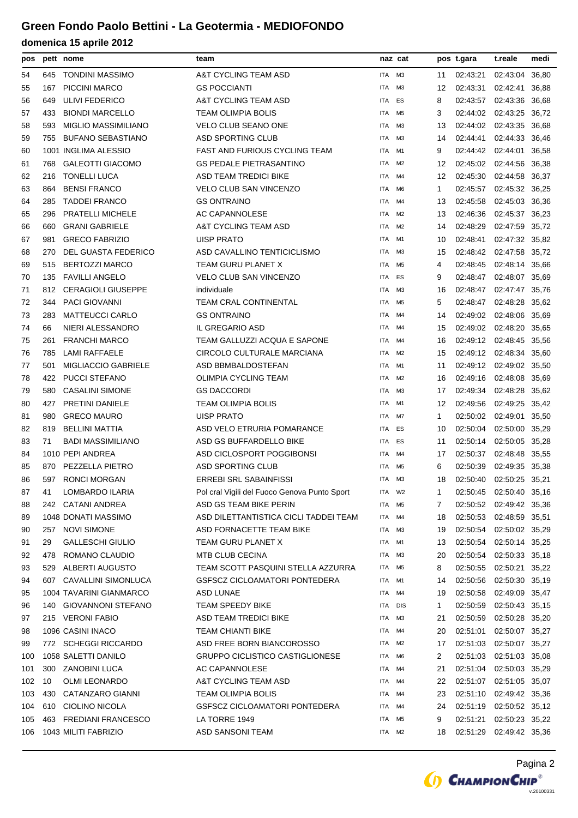| pos |     | pett nome                  | team                                         |            | naz cat        |              | pos t.gara              | t.reale                 | medi  |
|-----|-----|----------------------------|----------------------------------------------|------------|----------------|--------------|-------------------------|-------------------------|-------|
| 54  | 645 | <b>TONDINI MASSIMO</b>     | A&T CYCLING TEAM ASD                         | ITA        | M <sub>3</sub> | 11           | 02:43:21                | 02:43:04 36,80          |       |
| 55  | 167 | <b>PICCINI MARCO</b>       | <b>GS POCCIANTI</b>                          | <b>ITA</b> | ΜЗ             | 12           | 02:43:31                | 02:42:41                | 36,88 |
| 56  | 649 | ULIVI FEDERICO             | A&T CYCLING TEAM ASD                         | ITA        | ES             | 8            | 02:43:57                | 02:43:36 36,68          |       |
| 57  | 433 | <b>BIONDI MARCELLO</b>     | TEAM OLIMPIA BOLIS                           | <b>ITA</b> | M5             | 3            | 02:44:02                | 02:43:25 36,72          |       |
| 58  | 593 | <b>MIGLIO MASSIMILIANO</b> | <b>VELO CLUB SEANO ONE</b>                   | ITA        | ΜЗ             | 13           | 02:44:02                | 02:43:35 36,68          |       |
| 59  | 755 | <b>BUFANO SEBASTIANO</b>   | <b>ASD SPORTING CLUB</b>                     | <b>ITA</b> | M <sub>3</sub> | 14           | 02:44:41                | 02:44:33 36,46          |       |
| 60  |     | 1001 INGLIMA ALESSIO       | <b>FAST AND FURIOUS CYCLING TEAM</b>         | <b>ITA</b> | M1             | 9            | 02:44:42                | 02:44:01                | 36,58 |
| 61  | 768 | <b>GALEOTTI GIACOMO</b>    | <b>GS PEDALE PIETRASANTINO</b>               | ITA        | M2             | 12           | 02:45:02                | 02:44:56                | 36,38 |
| 62  | 216 | <b>TONELLI LUCA</b>        | ASD TEAM TREDICI BIKE                        | ITA        | M4             | 12           | 02:45:30                | 02:44:58 36,37          |       |
| 63  | 864 | <b>BENSI FRANCO</b>        | <b>VELO CLUB SAN VINCENZO</b>                | <b>ITA</b> | M <sub>6</sub> | 1            |                         | 02:45:57 02:45:32 36,25 |       |
| 64  | 285 | <b>TADDEI FRANCO</b>       | <b>GS ONTRAINO</b>                           | ITA        | M4             | 13           | 02:45:58                | 02:45:03 36,36          |       |
| 65  | 296 | <b>PRATELLI MICHELE</b>    | <b>AC CAPANNOLESE</b>                        | <b>ITA</b> | M2             | 13           | 02:46:36                | 02:45:37 36,23          |       |
| 66  | 660 | <b>GRANI GABRIELE</b>      | A&T CYCLING TEAM ASD                         | <b>ITA</b> | M2             | 14           | 02:48:29                | 02:47:59                | 35,72 |
| 67  | 981 | <b>GRECO FABRIZIO</b>      | <b>UISP PRATO</b>                            | <b>ITA</b> | M1             | 10           | 02:48:41                | 02:47:32 35,82          |       |
| 68  | 270 | DEL GUASTA FEDERICO        | ASD CAVALLINO TENTICICLISMO                  | ITA        | ΜЗ             | 15           | 02:48:42 02:47:58       |                         | 35,72 |
| 69  | 515 | <b>BERTOZZI MARCO</b>      | TEAM GURU PLANET X                           | <b>ITA</b> | M <sub>5</sub> | 4            |                         | 02:48:45 02:48:14 35,66 |       |
| 70  | 135 | <b>FAVILLI ANGELO</b>      | <b>VELO CLUB SAN VINCENZO</b>                | <b>ITA</b> | ES             | 9            |                         | 02:48:47 02:48:07 35,69 |       |
| 71  | 812 | <b>CERAGIOLI GIUSEPPE</b>  | individuale                                  | <b>ITA</b> | M <sub>3</sub> | 16           | 02:48:47                | 02:47:47 35.76          |       |
| 72  | 344 | <b>PACI GIOVANNI</b>       | <b>TEAM CRAL CONTINENTAL</b>                 | <b>ITA</b> | M <sub>5</sub> | 5            |                         | 02:48:47 02:48:28 35,62 |       |
| 73  | 283 | <b>MATTEUCCI CARLO</b>     | <b>GS ONTRAINO</b>                           | ITA        | M4             | 14           |                         | 02:49:02 02:48:06 35,69 |       |
| 74  | 66  | NIERI ALESSANDRO           | IL GREGARIO ASD                              | ITA        | M4             | 15           |                         | 02:49:02 02:48:20 35,65 |       |
| 75  | 261 | <b>FRANCHI MARCO</b>       | TEAM GALLUZZI ACQUA E SAPONE                 | <b>ITA</b> | M4             | 16           |                         | 02:49:12 02:48:45 35,56 |       |
| 76  | 785 | LAMI RAFFAELE              | CIRCOLO CULTURALE MARCIANA                   | ITA        | M2             | 15           |                         | 02:49:12 02:48:34 35,60 |       |
| 77  | 501 | <b>MIGLIACCIO GABRIELE</b> | ASD BBMBALDOSTEFAN                           | <b>ITA</b> | M1             | 11           |                         | 02:49:12 02:49:02 35,50 |       |
| 78  | 422 | <b>PUCCI STEFANO</b>       | OLIMPIA CYCLING TEAM                         | <b>ITA</b> | M2             | 16           | 02:49:16                | 02:48:08 35,69          |       |
| 79  | 580 | <b>CASALINI SIMONE</b>     | <b>GS DACCORDI</b>                           | ITA        | ΜЗ             | 17           | 02:49:34                | 02:48:28 35,62          |       |
| 80  | 427 | PRETINI DANIELE            | TEAM OLIMPIA BOLIS                           | ITA        | M1             | 12           | 02:49:56                | 02:49:25 35,42          |       |
| 81  | 980 | <b>GRECO MAURO</b>         | <b>UISP PRATO</b>                            | <b>ITA</b> | M7             | 1            | 02:50:02                | 02:49:01 35,50          |       |
| 82  | 819 | <b>BELLINI MATTIA</b>      | ASD VELO ETRURIA POMARANCE                   | ITA        | ES             | 10           | 02:50:04                | 02:50:00 35,29          |       |
| 83  | 71  | <b>BADI MASSIMILIANO</b>   | ASD GS BUFFARDELLO BIKE                      | <b>ITA</b> | ES             | 11           | 02:50:14                | 02:50:05 35,28          |       |
| 84  |     | 1010 PEPI ANDREA           | ASD CICLOSPORT POGGIBONSI                    | <b>ITA</b> | M4             | 17           |                         | 02:50:37 02:48:48 35,55 |       |
| 85  | 870 | PEZZELLA PIETRO            | <b>ASD SPORTING CLUB</b>                     | <b>ITA</b> | M <sub>5</sub> | 6            | 02:50:39                | 02:49:35 35,38          |       |
| 86  |     | 597 RONCI MORGAN           | ERREBI SRL SABAINFISSI                       | ITA        | M3             | 18           | 02:50:40 02:50:25 35.21 |                         |       |
| 87  | 41  | LOMBARDO ILARIA            | Pol cral Vigili del Fuoco Genova Punto Sport | ITA        | W2             | 1            |                         | 02:50:45 02:50:40 35,16 |       |
| 88  |     | 242 CATANI ANDREA          | ASD GS TEAM BIKE PERIN                       | ITA        | M5             | 7            |                         | 02:50:52 02:49:42 35,36 |       |
| 89  |     | 1048 DONATI MASSIMO        | ASD DILETTANTISTICA CICLI TADDEI TEAM        | ITA        | M4             | 18           |                         | 02:50:53 02:48:59 35,51 |       |
| 90  |     | 257 NOVI SIMONE            | ASD FORNACETTE TEAM BIKE                     | ITA        | ΜЗ             | 19           |                         | 02:50:54 02:50:02 35,29 |       |
| 91  | 29  | <b>GALLESCHI GIULIO</b>    | TEAM GURU PLANET X                           | <b>ITA</b> | M1             | 13           |                         | 02:50:54 02:50:14 35,25 |       |
| 92  | 478 | ROMANO CLAUDIO             | <b>MTB CLUB CECINA</b>                       | ITA        | M <sub>3</sub> | 20           |                         | 02:50:54 02:50:33 35,18 |       |
| 93  | 529 | <b>ALBERTI AUGUSTO</b>     | TEAM SCOTT PASQUINI STELLA AZZURRA           | ITA        | M <sub>5</sub> | 8            | 02:50:55                | 02:50:21 35,22          |       |
| 94  |     | 607 CAVALLINI SIMONLUCA    | GSFSCZ CICLOAMATORI PONTEDERA                | ITA        | M1             | 14           | 02:50:56                | 02:50:30 35,19          |       |
| 95  |     | 1004 TAVARINI GIANMARCO    | ASD LUNAE                                    | ITA        | M4             | 19           | 02:50:58                | 02:49:09 35,47          |       |
| 96  | 140 | <b>GIOVANNONI STEFANO</b>  | TEAM SPEEDY BIKE                             | ITA        | <b>DIS</b>     | $\mathbf{1}$ | 02:50:59                | 02:50:43 35,15          |       |
| 97  |     | 215 VERONI FABIO           | ASD TEAM TREDICI BIKE                        | ITA        | ΜЗ             | 21           | 02:50:59                | 02:50:28 35,20          |       |
| 98  |     | 1096 CASINI INACO          | TEAM CHIANTI BIKE                            | ITA        | M4             | 20           | 02:51:01                | 02:50:07 35,27          |       |
| 99  |     | 772 SCHEGGI RICCARDO       | ASD FREE BORN BIANCOROSSO                    | ITA        | M <sub>2</sub> | 17           |                         | 02:51:03 02:50:07 35,27 |       |
| 100 |     | 1058 SALETTI DANILO        | <b>GRUPPO CICLISTICO CASTIGLIONESE</b>       | ITA        | M6             | 2            | 02:51:03                | 02:51:03 35,08          |       |
| 101 | 300 | <b>ZANOBINI LUCA</b>       | AC CAPANNOLESE                               | ITA        | M4             | 21           | 02:51:04                | 02:50:03 35,29          |       |
| 102 | 10  | <b>OLMI LEONARDO</b>       | A&T CYCLING TEAM ASD                         | ITA        | M4             | 22           |                         | 02:51:07 02:51:05 35,07 |       |
| 103 | 430 | CATANZARO GIANNI           | TEAM OLIMPIA BOLIS                           | <b>ITA</b> | M4             | 23           | 02:51:10                | 02:49:42 35,36          |       |
| 104 | 610 | CIOLINO NICOLA             | <b>GSFSCZ CICLOAMATORI PONTEDERA</b>         | ITA        | M4             | 24           | 02:51:19 02:50:52 35,12 |                         |       |
| 105 |     | 463 FREDIANI FRANCESCO     | LA TORRE 1949                                | ITA        | M <sub>5</sub> | 9            | 02:51:21                | 02:50:23 35,22          |       |
| 106 |     | 1043 MILITI FABRIZIO       | ASD SANSONI TEAM                             | ITA        | M2             | 18           |                         | 02:51:29 02:49:42 35,36 |       |

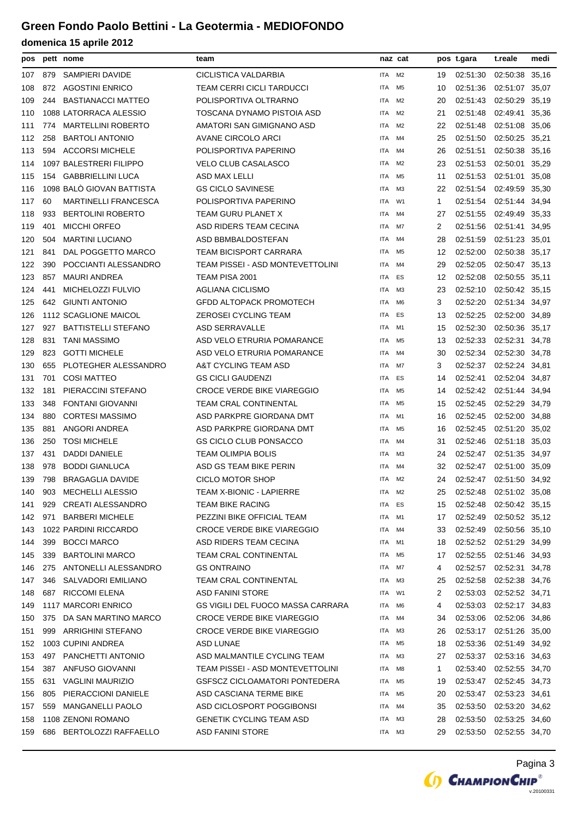| pos |     | pett nome                   | team                                    |            | naz cat        |             | pos t.gara              | t.reale                 | medi  |
|-----|-----|-----------------------------|-----------------------------------------|------------|----------------|-------------|-------------------------|-------------------------|-------|
| 107 | 879 | SAMPIERI DAVIDE             | CICLISTICA VALDARBIA                    | ITA        | M2             | 19          | 02:51:30                | 02:50:38 35,16          |       |
| 108 | 872 | <b>AGOSTINI ENRICO</b>      | <b>TEAM CERRI CICLI TARDUCCI</b>        | <b>ITA</b> | M <sub>5</sub> | 10          | 02:51:36                | 02:51:07 35,07          |       |
| 109 | 244 | <b>BASTIANACCI MATTEO</b>   | POLISPORTIVA OLTRARNO                   | ITA        | M2             | 20          | 02:51:43                | 02:50:29 35,19          |       |
| 110 |     | 1088 LATORRACA ALESSIO      | TOSCANA DYNAMO PISTOIA ASD              | ITA        | M2             | 21          | 02:51:48                | 02:49:41 35,36          |       |
| 111 | 774 | <b>MARTELLINI ROBERTO</b>   | AMATORI SAN GIMIGNANO ASD               | ITA        | M2             | 22          | 02:51:48                | 02:51:08 35,06          |       |
| 112 | 258 | <b>BARTOLI ANTONIO</b>      | AVANE CIRCOLO ARCI                      | ITA        | M4             | 25          | 02:51:50                | 02:50:25 35,21          |       |
| 113 | 594 | <b>ACCORSI MICHELE</b>      | POLISPORTIVA PAPERINO                   | ITA        | M4             | 26          | 02:51:51                | 02:50:38                | 35,16 |
| 114 |     | 1097 BALESTRERI FILIPPO     | <b>VELO CLUB CASALASCO</b>              | <b>ITA</b> | M <sub>2</sub> | 23          | 02:51:53                | 02:50:01 35,29          |       |
| 115 | 154 | <b>GABBRIELLINI LUCA</b>    | ASD MAX LELLI                           | ITA        | M5             | 11          | 02:51:53                | 02:51:01 35,08          |       |
| 116 |     | 1098 BALÒ GIOVAN BATTISTA   | <b>GS CICLO SAVINESE</b>                | ITA        | ΜЗ             | 22          | 02:51:54                | 02:49:59 35,30          |       |
| 117 | 60  | <b>MARTINELLI FRANCESCA</b> | POLISPORTIVA PAPERINO                   | ITA        | W1             | 1           | 02:51:54                | 02:51:44 34,94          |       |
| 118 | 933 | <b>BERTOLINI ROBERTO</b>    | TEAM GURU PLANET X                      | ITA        | M4             | 27          | 02:51:55                | 02:49:49 35,33          |       |
| 119 | 401 | <b>MICCHI ORFEO</b>         | ASD RIDERS TEAM CECINA                  | ITA        | M7             | 2           | 02:51:56                | 02:51:41 34,95          |       |
| 120 | 504 | <b>MARTINI LUCIANO</b>      | ASD BBMBALDOSTEFAN                      | ITA        | M4             | 28          | 02:51:59                | 02:51:23 35,01          |       |
| 121 | 841 | DAL POGGETTO MARCO          | <b>TEAM BICISPORT CARRARA</b>           | ITA        | M5             | 12          | 02:52:00                | 02:50:38 35,17          |       |
| 122 | 390 | POCCIANTI ALESSANDRO        | TEAM PISSEI - ASD MONTEVETTOLINI        | ITA        | M4             | 29          | 02:52:05                | 02:50:47 35,13          |       |
| 123 | 857 | <b>MAURI ANDREA</b>         | TEAM PISA 2001                          | <b>ITA</b> | ES             | 12          | 02:52:08                | 02:50:55 35,11          |       |
| 124 | 441 | MICHELOZZI FULVIO           | <b>AGLIANA CICLISMO</b>                 | ITA        | M <sub>3</sub> | 23          | 02:52:10                | 02:50:42 35,15          |       |
| 125 | 642 | <b>GIUNTI ANTONIO</b>       | <b>GFDD ALTOPACK PROMOTECH</b>          | <b>ITA</b> | M <sub>6</sub> | 3           | 02:52:20                | 02:51:34 34,97          |       |
| 126 |     | 1112 SCAGLIONE MAICOL       | ZEROSEI CYCLING TEAM                    | ITA        | ES             | 13          | 02:52:25                | 02:52:00 34,89          |       |
| 127 | 927 | <b>BATTISTELLI STEFANO</b>  | <b>ASD SERRAVALLE</b>                   | ITA        | M1             | 15          | 02:52:30                | 02:50:36 35,17          |       |
| 128 | 831 | <b>TANI MASSIMO</b>         | ASD VELO ETRURIA POMARANCE              | ITA        | M5             | 13          | 02:52:33                | 02:52:31 34,78          |       |
| 129 | 823 | <b>GOTTI MICHELE</b>        | ASD VELO ETRURIA POMARANCE              | ITA        | M4             | 30          | 02:52:34                | 02:52:30 34,78          |       |
| 130 | 655 | PLOTEGHER ALESSANDRO        | A&T CYCLING TEAM ASD                    | ITA        | M7             | 3           | 02:52:37                | 02:52:24                | 34,81 |
| 131 | 701 | <b>COSI MATTEO</b>          | <b>GS CICLI GAUDENZI</b>                | ITA        | ES             | 14          | 02:52:41                | 02:52:04 34,87          |       |
| 132 | 181 | PIERACCINI STEFANO          | <b>CROCE VERDE BIKE VIAREGGIO</b>       | ITA        | M5             | 14          |                         | 02:52:42 02:51:44 34,94 |       |
| 133 | 348 | <b>FONTANI GIOVANNI</b>     | <b>TEAM CRAL CONTINENTAL</b>            | ITA        | M5             | 15          | 02:52:45                | 02:52:29 34,79          |       |
| 134 | 880 | <b>CORTESI MASSIMO</b>      | ASD PARKPRE GIORDANA DMT                | ITA        | M1             | 16          | 02:52:45                | 02:52:00 34,88          |       |
| 135 | 881 | ANGORI ANDREA               | ASD PARKPRE GIORDANA DMT                | ITA        | M5             | 16          | 02:52:45                | 02:51:20 35,02          |       |
| 136 | 250 | <b>TOSI MICHELE</b>         | <b>GS CICLO CLUB PONSACCO</b>           | ITA        | M4             | 31          | 02:52:46                | 02:51:18                | 35,03 |
| 137 | 431 | <b>DADDI DANIELE</b>        | <b>TEAM OLIMPIA BOLIS</b>               | <b>ITA</b> | M3             | 24          |                         | 02:52:47 02:51:35 34,97 |       |
| 138 | 978 | <b>BODDI GIANLUCA</b>       | ASD GS TEAM BIKE PERIN                  | ITA        | M4             | 32          | 02:52:47                | 02:51:00 35,09          |       |
| 139 | 798 | <b>BRAGAGLIA DAVIDE</b>     | CICLO MOTOR SHOP                        | ITA        | M2             | 24          | 02:52:47 02:51:50 34,92 |                         |       |
| 140 | 903 | <b>MECHELLI ALESSIO</b>     | TEAM X-BIONIC - LAPIERRE                | <b>ITA</b> | M <sub>2</sub> | 25          | 02:52:48                | 02:51:02 35,08          |       |
| 141 | 929 | <b>CREATI ALESSANDRO</b>    | <b>TEAM BIKE RACING</b>                 | ITA        | ES             | 15          | 02:52:48                | 02:50:42 35,15          |       |
| 142 | 971 | <b>BARBERI MICHELE</b>      | PEZZINI BIKE OFFICIAL TEAM              | ITA        | M1             | 17          | 02:52:49                | 02:50:52 35,12          |       |
| 143 |     | 1022 PARDINI RICCARDO       | <b>CROCE VERDE BIKE VIAREGGIO</b>       | ITA        | M4             | 33          | 02:52:49 02:50:56 35,10 |                         |       |
| 144 | 399 | <b>BOCCI MARCO</b>          | ASD RIDERS TEAM CECINA                  | <b>ITA</b> | M1             | 18          | 02:52:52 02:51:29 34,99 |                         |       |
| 145 | 339 | <b>BARTOLINI MARCO</b>      | <b>TEAM CRAL CONTINENTAL</b>            | ITA        | M5             | 17          | 02:52:55                | 02:51:46 34.93          |       |
| 146 | 275 | ANTONELLI ALESSANDRO        | <b>GS ONTRAINO</b>                      | ITA        | M7             | 4           |                         | 02:52:57 02:52:31 34,78 |       |
| 147 | 346 | SALVADORI EMILIANO          | <b>TEAM CRAL CONTINENTAL</b>            | ITA        | ΜЗ             | 25          | 02:52:58                | 02:52:38 34,76          |       |
| 148 | 687 | <b>RICCOMI ELENA</b>        | <b>ASD FANINI STORE</b>                 | ITA        | W1             | 2           | 02:53:03                | 02:52:52 34,71          |       |
| 149 |     | 1117 MARCORI ENRICO         | GS VIGILI DEL FUOCO MASSA CARRARA       | ITA        | M6             | 4           | 02:53:03                | 02:52:17 34,83          |       |
| 150 | 375 | DA SAN MARTINO MARCO        | <b>CROCE VERDE BIKE VIAREGGIO</b>       | ITA        | M4             | 34          | 02:53:06                | 02:52:06 34,86          |       |
| 151 | 999 | ARRIGHINI STEFANO           | <b>CROCE VERDE BIKE VIAREGGIO</b>       | ITA        | ΜЗ             | 26          | 02:53:17 02:51:26 35,00 |                         |       |
| 152 |     | 1003 CUPINI ANDREA          | ASD LUNAE                               | ITA        | M5             | 18          | 02:53:36                | 02:51:49 34,92          |       |
| 153 | 497 | PANCHETTI ANTONIO           | ASD MALMANTILE CYCLING TEAM             | ITA        | ΜЗ             | 27          | 02:53:37                | 02:53:16 34,63          |       |
| 154 | 387 | ANFUSO GIOVANNI             | <b>TEAM PISSEI - ASD MONTEVETTOLINI</b> | ITA        | M8             | $\mathbf 1$ | 02:53:40                | 02:52:55 34,70          |       |
| 155 | 631 | <b>VAGLINI MAURIZIO</b>     | <b>GSFSCZ CICLOAMATORI PONTEDERA</b>    | ITA        | M5             | 19          | 02:53:47 02:52:45 34,73 |                         |       |
| 156 | 805 | PIERACCIONI DANIELE         | ASD CASCIANA TERME BIKE                 | <b>ITA</b> | M5             | 20          | 02:53:47 02:53:23 34,61 |                         |       |
| 157 | 559 | <b>MANGANELLI PAOLO</b>     | ASD CICLOSPORT POGGIBONSI               | ITA        | M4             | 35          | 02:53:50                | 02:53:20 34,62          |       |
| 158 |     | 1108 ZENONI ROMANO          | <b>GENETIK CYCLING TEAM ASD</b>         | ITA        | ΜЗ             | 28          | 02:53:50 02:53:25 34,60 |                         |       |
| 159 |     | 686 BERTOLOZZI RAFFAELLO    | ASD FANINI STORE                        | ITA        | ΜЗ             | 29          | 02:53:50 02:52:55 34,70 |                         |       |

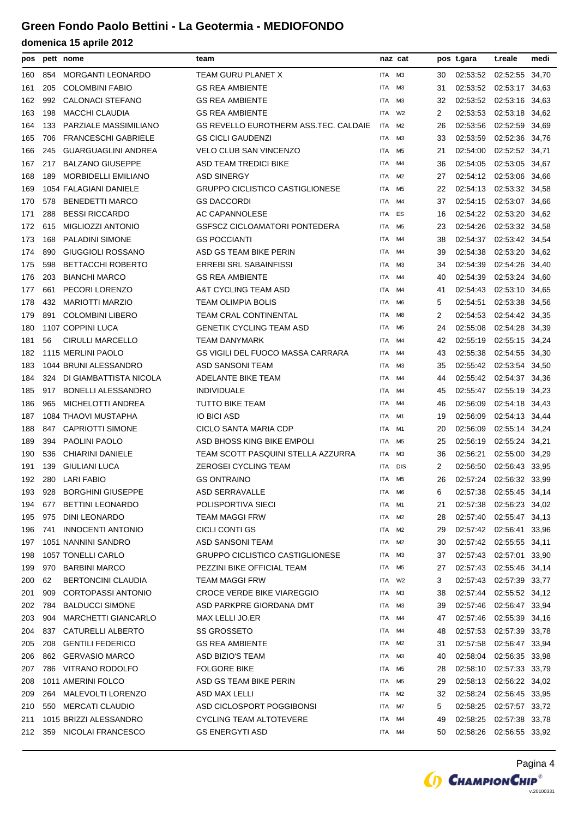| pos |     | pett nome                  | team                                   |            | naz cat        |    | pos t.gara              | t.reale                 | medi  |
|-----|-----|----------------------------|----------------------------------------|------------|----------------|----|-------------------------|-------------------------|-------|
| 160 | 854 | <b>MORGANTI LEONARDO</b>   | TEAM GURU PLANET X                     | ITA        | MЗ             | 30 | 02:53:52                | 02:52:55                | 34,70 |
| 161 | 205 | <b>COLOMBINI FABIO</b>     | <b>GS REA AMBIENTE</b>                 | ITA        | MЗ             | 31 | 02:53:52                | 02:53:17 34,63          |       |
| 162 | 992 | <b>CALONACI STEFANO</b>    | <b>GS REA AMBIENTE</b>                 | ITA        | MЗ             | 32 |                         | 02:53:52 02:53:16 34,63 |       |
| 163 | 198 | <b>MACCHI CLAUDIA</b>      | <b>GS REA AMBIENTE</b>                 | ITA        | W <sub>2</sub> | 2  | 02:53:53                | 02:53:18 34,62          |       |
| 164 | 133 | PARZIALE MASSIMILIANO      | GS REVELLO EUROTHERM ASS.TEC. CALDAIE  | ITA        | M <sub>2</sub> | 26 | 02:53:56                | 02:52:59 34,69          |       |
| 165 | 706 | <b>FRANCESCHI GABRIELE</b> | <b>GS CICLI GAUDENZI</b>               | ITA        | M <sub>3</sub> | 33 | 02:53:59                | 02:52:36 34,76          |       |
| 166 | 245 | <b>GUARGUAGLINI ANDREA</b> | <b>VELO CLUB SAN VINCENZO</b>          | ITA        | M <sub>5</sub> | 21 | 02:54:00                | 02:52:52 34,71          |       |
| 167 | 217 | <b>BALZANO GIUSEPPE</b>    | ASD TEAM TREDICI BIKE                  | ITA        | M4             | 36 | 02:54:05                | 02:53:05 34,67          |       |
| 168 | 189 | <b>MORBIDELLI EMILIANO</b> | <b>ASD SINERGY</b>                     | ITA        | M <sub>2</sub> | 27 |                         | 02:54:12 02:53:06 34,66 |       |
| 169 |     | 1054 FALAGIANI DANIELE     | <b>GRUPPO CICLISTICO CASTIGLIONESE</b> | ITA        | M <sub>5</sub> | 22 | 02:54:13                | 02:53:32 34,58          |       |
| 170 | 578 | <b>BENEDETTI MARCO</b>     | <b>GS DACCORDI</b>                     | ITA        | M4             | 37 | 02:54:15                | 02:53:07 34,66          |       |
| 171 | 288 | <b>BESSI RICCARDO</b>      | AC CAPANNOLESE                         | ITA        | ES             | 16 | 02:54:22                | 02:53:20                | 34,62 |
| 172 | 615 | MIGLIOZZI ANTONIO          | GSFSCZ CICLOAMATORI PONTEDERA          | ITA        | M <sub>5</sub> | 23 | 02:54:26                | 02:53:32 34,58          |       |
| 173 | 168 | <b>PALADINI SIMONE</b>     | <b>GS POCCIANTI</b>                    | ITA        | M4             | 38 | 02:54:37                | 02:53:42 34,54          |       |
| 174 | 890 | GIUGGIOLI ROSSANO          | ASD GS TEAM BIKE PERIN                 | ITA        | M4             | 39 | 02:54:38                | 02:53:20 34,62          |       |
| 175 | 598 | <b>BETTACCHI ROBERTO</b>   | <b>ERREBI SRL SABAINFISSI</b>          | ITA        | M3             | 34 | 02:54:39                | 02:54:26 34,40          |       |
| 176 | 203 | <b>BIANCHI MARCO</b>       | <b>GS REA AMBIENTE</b>                 | ITA        | M4             | 40 | 02:54:39                | 02:53:24 34,60          |       |
| 177 | 661 | PECORI LORENZO             | A&T CYCLING TEAM ASD                   | ITA        | M4             | 41 | 02:54:43                | 02:53:10 34,65          |       |
| 178 | 432 | <b>MARIOTTI MARZIO</b>     | TEAM OLIMPIA BOLIS                     | <b>ITA</b> | M <sub>6</sub> | 5  | 02:54:51                | 02:53:38                | 34,56 |
| 179 | 891 | <b>COLOMBINI LIBERO</b>    | <b>TEAM CRAL CONTINENTAL</b>           | ITA        | M8             | 2  | 02:54:53                | 02:54:42 34,35          |       |
| 180 |     | 1107 COPPINI LUCA          | <b>GENETIK CYCLING TEAM ASD</b>        | ITA        | M <sub>5</sub> | 24 | 02:55:08                | 02:54:28 34,39          |       |
| 181 | 56  | <b>CIRULLI MARCELLO</b>    | TEAM DANYMARK                          | ITA        | M4             | 42 | 02:55:19                | 02:55:15 34,24          |       |
| 182 |     | 1115 MERLINI PAOLO         | GS VIGILI DEL FUOCO MASSA CARRARA      | ITA        | M4             | 43 | 02:55:38                | 02:54:55 34,30          |       |
| 183 |     | 1044 BRUNI ALESSANDRO      | ASD SANSONI TEAM                       | ITA        | M3             | 35 | 02:55:42                | 02:53:54 34,50          |       |
| 184 | 324 | DI GIAMBATTISTA NICOLA     | ADELANTE BIKE TEAM                     | ITA        | M4             | 44 | 02:55:42                | 02:54:37                | 34,36 |
| 185 | 917 | <b>BONELLI ALESSANDRO</b>  | <b>INDIVIDUALE</b>                     | ITA        | M4             | 45 | 02:55:47                | 02:55:19                | 34,23 |
| 186 | 965 | MICHELOTTI ANDREA          | <b>TUTTO BIKE TEAM</b>                 | ITA        | M4             | 46 | 02:56:09                | 02:54:18 34,43          |       |
| 187 |     | 1084 THAOVI MUSTAPHA       | IO BICI ASD                            | ITA        | M1             | 19 | 02:56:09                | 02:54:13 34,44          |       |
| 188 | 847 | <b>CAPRIOTTI SIMONE</b>    | CICLO SANTA MARIA CDP                  | ITA        | M1             | 20 | 02:56:09                | 02:55:14 34,24          |       |
| 189 | 394 | <b>PAOLINI PAOLO</b>       | ASD BHOSS KING BIKE EMPOLI             | ITA        | M <sub>5</sub> | 25 | 02:56:19                | 02:55:24 34,21          |       |
| 190 | 536 | <b>CHIARINI DANIELE</b>    | TEAM SCOTT PASQUINI STELLA AZZURRA     | ITA        | MЗ             | 36 | 02:56:21                | 02:55:00                | 34,29 |
| 191 | 139 | <b>GIULIANI LUCA</b>       | ZEROSEI CYCLING TEAM                   | ITA        | <b>DIS</b>     | 2  | 02:56:50                | 02:56:43 33,95          |       |
| 192 | 280 | <b>LARI FABIO</b>          | <b>GS ONTRAINO</b>                     | ITA        | M5             | 26 |                         | 02:57:24 02:56:32 33,99 |       |
| 193 | 928 | <b>BORGHINI GIUSEPPE</b>   | ASD SERRAVALLE                         | ITA        | M6             | 6  | 02:57:38                | 02:55:45 34,14          |       |
| 194 | 677 | <b>BETTINI LEONARDO</b>    | POLISPORTIVA SIECI                     | ITA        | M1             | 21 | 02:57:38                | 02:56:23 34,02          |       |
| 195 | 975 | <b>DINI LEONARDO</b>       | TEAM MAGGI FRW                         | ITA        | M <sub>2</sub> | 28 | 02:57:40                | 02:55:47 34,13          |       |
| 196 | 741 | <b>INNOCENTI ANTONIO</b>   | CICLI CONTI GS                         | ITA        | M <sub>2</sub> | 29 |                         | 02:57:42 02:56:41 33,96 |       |
| 197 |     | 1051 NANNINI SANDRO        | ASD SANSONI TEAM                       | ITA        | M <sub>2</sub> | 30 |                         | 02:57:42 02:55:55 34,11 |       |
| 198 |     | 1057 TONELLI CARLO         | GRUPPO CICLISTICO CASTIGLIONESE        | ITA        | MЗ             | 37 |                         | 02:57:43 02:57:01 33,90 |       |
| 199 | 970 | <b>BARBINI MARCO</b>       | PEZZINI BIKE OFFICIAL TEAM             | ITA        | M5             | 27 | 02:57:43                | 02:55:46 34,14          |       |
| 200 | 62  | <b>BERTONCINI CLAUDIA</b>  | <b>TEAM MAGGI FRW</b>                  | ITA        | W <sub>2</sub> | 3  | 02:57:43                | 02:57:39 33,77          |       |
| 201 | 909 | <b>CORTOPASSI ANTONIO</b>  | <b>CROCE VERDE BIKE VIAREGGIO</b>      | ITA        | M3             | 38 | 02:57:44                | 02:55:52 34,12          |       |
| 202 | 784 | <b>BALDUCCI SIMONE</b>     | ASD PARKPRE GIORDANA DMT               | ITA        | ΜЗ             | 39 | 02:57:46                | 02:56:47 33,94          |       |
| 203 | 904 | <b>MARCHETTI GIANCARLO</b> | MAX LELLI JO.ER                        | ITA        | M4             | 47 | 02:57:46                | 02:55:39 34,16          |       |
| 204 | 837 | CATURELLI ALBERTO          | SS GROSSETO                            | ITA        | M4             | 48 | 02:57:53                | 02:57:39 33,78          |       |
| 205 | 208 | <b>GENTILI FEDERICO</b>    | <b>GS REA AMBIENTE</b>                 | ITA        | M <sub>2</sub> | 31 | 02:57:58                | 02:56:47 33,94          |       |
| 206 | 862 | <b>GERVASIO MARCO</b>      | ASD BIZIO'S TEAM                       | ITA        | M3             | 40 | 02:58:04                | 02:56:35 33,98          |       |
| 207 | 786 | VITRANO RODOLFO            | <b>FOLGORE BIKE</b>                    | ITA        | M <sub>5</sub> | 28 | 02:58:10                | 02:57:33 33,79          |       |
| 208 |     | 1011 AMERINI FOLCO         | ASD GS TEAM BIKE PERIN                 | ITA        | M <sub>5</sub> | 29 | 02:58:13 02:56:22 34,02 |                         |       |
| 209 | 264 | MALEVOLTI LORENZO          | ASD MAX LELLI                          | ITA        | M <sub>2</sub> | 32 | 02:58:24                | 02:56:45 33,95          |       |
| 210 | 550 | <b>MERCATI CLAUDIO</b>     | ASD CICLOSPORT POGGIBONSI              | ITA        | M7             | 5  |                         | 02:58:25 02:57:57 33,72 |       |
| 211 |     | 1015 BRIZZI ALESSANDRO     | CYCLING TEAM ALTOTEVERE                | ITA        | M4             | 49 | 02:58:25                | 02:57:38 33,78          |       |
| 212 | 359 | NICOLAI FRANCESCO          | <b>GS ENERGYTI ASD</b>                 | ITA        | M4             | 50 | 02:58:26                | 02:56:55 33,92          |       |

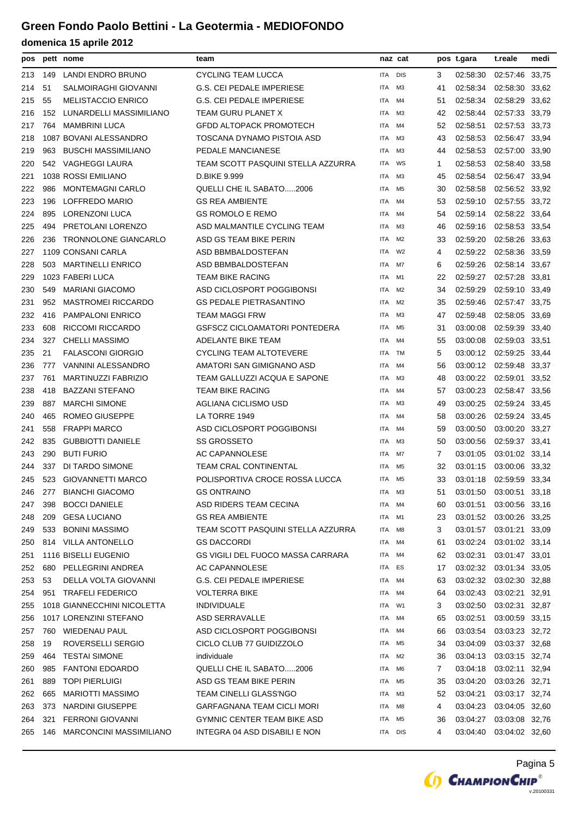| pos |     | pett nome                      | team                               |            | naz cat        |    | pos t.gara              | t.reale                 | medi  |
|-----|-----|--------------------------------|------------------------------------|------------|----------------|----|-------------------------|-------------------------|-------|
| 213 | 149 | LANDI ENDRO BRUNO              | CYCLING TEAM LUCCA                 | ITA        | <b>DIS</b>     | 3  | 02:58:30                | 02:57:46 33,75          |       |
| 214 | 51  | SALMOIRAGHI GIOVANNI           | <b>G.S. CEI PEDALE IMPERIESE</b>   | ITA        | ΜЗ             | 41 | 02:58:34                | 02:58:30 33,62          |       |
| 215 | 55  | <b>MELISTACCIO ENRICO</b>      | <b>G.S. CEI PEDALE IMPERIESE</b>   | ITA        | M4             | 51 | 02:58:34                | 02:58:29 33,62          |       |
| 216 | 152 | LUNARDELLI MASSIMILIANO        | TEAM GURU PLANET X                 | ITA        | M3             | 42 | 02:58:44                | 02:57:33 33,79          |       |
| 217 | 764 | <b>MAMBRINI LUCA</b>           | <b>GFDD ALTOPACK PROMOTECH</b>     | ITA        | M4             | 52 | 02:58:51                | 02:57:53 33,73          |       |
| 218 |     | 1087 BOVANI ALESSANDRO         | TOSCANA DYNAMO PISTOIA ASD         | ITA        | M3             | 43 | 02:58:53                | 02:56:47 33,94          |       |
| 219 | 963 | <b>BUSCHI MASSIMILIANO</b>     | PEDALE MANCIANESE                  | ITA        | M3             | 44 | 02:58:53                | 02:57:00 33,90          |       |
| 220 |     | 542 VAGHEGGI LAURA             | TEAM SCOTT PASQUINI STELLA AZZURRA | ITA        | WS             | 1  | 02:58:53                | 02:58:40 33,58          |       |
| 221 |     | 1038 ROSSI EMILIANO            | D.BIKE 9.999                       | ITA        | MЗ             | 45 | 02:58:54                | 02:56:47 33,94          |       |
| 222 | 986 | <b>MONTEMAGNI CARLO</b>        | QUELLI CHE IL SABATO2006           | ITA        | M5             | 30 | 02:58:58                | 02:56:52 33,92          |       |
| 223 | 196 | LOFFREDO MARIO                 | <b>GS REA AMBIENTE</b>             | ITA        | M4             | 53 | 02:59:10                | 02:57:55 33,72          |       |
| 224 | 895 | LORENZONI LUCA                 | <b>GS ROMOLO E REMO</b>            | ITA        | M4             | 54 | 02:59:14                | 02:58:22                | 33,64 |
| 225 | 494 | PRETOLANI LORENZO              | ASD MALMANTILE CYCLING TEAM        | ITA        | M <sub>3</sub> | 46 | 02:59:16                | 02:58:53 33,54          |       |
| 226 | 236 | TRONNOLONE GIANCARLO           | ASD GS TEAM BIKE PERIN             | ITA        | M2             | 33 | 02:59:20                | 02:58:26 33,63          |       |
| 227 |     | 1109 CONSANI CARLA             | ASD BBMBALDOSTEFAN                 | ITA        | W <sub>2</sub> | 4  | 02:59:22                | 02:58:36 33,59          |       |
| 228 | 503 | <b>MARTINELLI ENRICO</b>       | ASD BBMBALDOSTEFAN                 | ITA        | M7             | 6  | 02:59:26                | 02:58:14 33,67          |       |
| 229 |     | 1023 FABERI LUCA               | <b>TEAM BIKE RACING</b>            | ITA        | M1             | 22 | 02:59:27                | 02:57:28                | 33,81 |
| 230 | 549 | <b>MARIANI GIACOMO</b>         | ASD CICLOSPORT POGGIBONSI          | <b>ITA</b> | M <sub>2</sub> | 34 | 02:59:29                | 02:59:10 33,49          |       |
| 231 | 952 | <b>MASTROMEI RICCARDO</b>      | <b>GS PEDALE PIETRASANTINO</b>     | ITA        | M <sub>2</sub> | 35 | 02:59:46                | 02:57:47 33,75          |       |
| 232 | 416 | <b>PAMPALONI ENRICO</b>        | <b>TEAM MAGGI FRW</b>              | ITA        | M3             | 47 | 02:59:48                | 02:58:05 33.69          |       |
| 233 | 608 | <b>RICCOMI RICCARDO</b>        | GSFSCZ CICLOAMATORI PONTEDERA      | ITA        | M <sub>5</sub> | 31 | 03:00:08                | 02:59:39 33,40          |       |
| 234 | 327 | <b>CHELLI MASSIMO</b>          | ADELANTE BIKE TEAM                 | ITA        | M4             | 55 | 03:00:08                | 02:59:03 33,51          |       |
| 235 | 21  | <b>FALASCONI GIORGIO</b>       | <b>CYCLING TEAM ALTOTEVERE</b>     | ITA        | TM             | 5  |                         | 03:00:12 02:59:25 33,44 |       |
| 236 | 777 | VANNINI ALESSANDRO             | AMATORI SAN GIMIGNANO ASD          | ITA        | M4             | 56 |                         | 03:00:12 02:59:48 33,37 |       |
| 237 | 761 | <b>MARTINUZZI FABRIZIO</b>     | TEAM GALLUZZI ACQUA E SAPONE       | ITA        | M3             | 48 | 03:00:22                | 02:59:01                | 33,52 |
| 238 | 418 | <b>BAZZANI STEFANO</b>         | <b>TEAM BIKE RACING</b>            | ITA        | M4             | 57 | 03:00:23                | 02:58:47 33,56          |       |
| 239 | 887 | <b>MARCHI SIMONE</b>           | AGLIANA CICLISMO USD               | ITA        | MЗ             | 49 | 03:00:25                | 02:59:24 33,45          |       |
| 240 | 465 | ROMEO GIUSEPPE                 | LA TORRE 1949                      | ITA        | M4             | 58 | 03:00:26                | 02:59:24 33,45          |       |
| 241 | 558 | <b>FRAPPI MARCO</b>            | ASD CICLOSPORT POGGIBONSI          | ITA        | M4             | 59 | 03:00:50                | 03:00:20 33,27          |       |
| 242 | 835 | <b>GUBBIOTTI DANIELE</b>       | <b>SS GROSSETO</b>                 | ITA        | M3             | 50 | 03:00:56                | 02:59:37 33,41          |       |
| 243 | 290 | <b>BUTI FURIO</b>              | AC CAPANNOLESE                     | ITA        | M7             | 7  | 03:01:05                | 03:01:02 33,14          |       |
| 244 | 337 | DI TARDO SIMONE                | <b>TEAM CRAL CONTINENTAL</b>       | ITA        | M <sub>5</sub> | 32 | 03:01:15                | 03:00:06 33,32          |       |
| 245 | 523 | <b>GIOVANNETTI MARCO</b>       | POLISPORTIVA CROCE ROSSA LUCCA     | ITA        | M5             | 33 | 03:01:18                | 02:59:59 33,34          |       |
| 246 | 277 | <b>BIANCHI GIACOMO</b>         | <b>GS ONTRAINO</b>                 | ITA        | ΜЗ             | 51 | 03:01:50                | 03:00:51 33,18          |       |
| 247 | 398 | <b>BOCCI DANIELE</b>           | ASD RIDERS TEAM CECINA             | ITA        | M4             | 60 | 03:01:51                | 03:00:56 33,16          |       |
| 248 | 209 | <b>GESA LUCIANO</b>            | <b>GS REA AMBIENTE</b>             | ITA        | M1             | 23 |                         | 03:01:52 03:00:26 33,25 |       |
| 249 | 533 | <b>BONINI MASSIMO</b>          | TEAM SCOTT PASQUINI STELLA AZZURRA | ITA        | M8             | 3  | 03:01:57                | 03:01:21 33,09          |       |
| 250 |     | 814 VILLA ANTONELLO            | <b>GS DACCORDI</b>                 | ITA        | M4             | 61 | 03:02:24 03:01:02 33,14 |                         |       |
| 251 |     | 1116 BISELLI EUGENIO           | GS VIGILI DEL FUOCO MASSA CARRARA  | ITA        | M4             | 62 | 03:02:31                | 03:01:47 33.01          |       |
| 252 | 680 | PELLEGRINI ANDREA              | AC CAPANNOLESE                     | ITA        | ES             | 17 | 03:02:32                | 03:01:34 33,05          |       |
| 253 | 53  | DELLA VOLTA GIOVANNI           | <b>G.S. CEI PEDALE IMPERIESE</b>   | ITA        | M4             | 63 | 03:02:32                | 03:02:30 32,88          |       |
| 254 | 951 | <b>TRAFELI FEDERICO</b>        | <b>VOLTERRA BIKE</b>               | ITA        | M4             | 64 | 03:02:43                | 03:02:21 32,91          |       |
| 255 |     | 1018 GIANNECCHINI NICOLETTA    | <b>INDIVIDUALE</b>                 | ITA        | W1             | 3  | 03:02:50                | 03:02:31 32,87          |       |
| 256 |     | 1017 LORENZINI STEFANO         | ASD SERRAVALLE                     | ITA        | M4             | 65 | 03:02:51                | 03:00:59 33,15          |       |
| 257 | 760 | WIEDENAU PAUL                  | ASD CICLOSPORT POGGIBONSI          | ITA        | M4             | 66 | 03:03:54                | 03:03:23 32,72          |       |
| 258 | 19  | ROVERSELLI SERGIO              | CICLO CLUB 77 GUIDIZZOLO           | ITA        | M5             | 34 | 03:04:09                | 03:03:37 32,68          |       |
| 259 | 464 | <b>TESTAI SIMONE</b>           | individuale                        | ITA        | M2             | 36 | 03:04:13                | 03:03:15 32,74          |       |
| 260 | 985 | <b>FANTONI EDOARDO</b>         | QUELLI CHE IL SABATO2006           | ITA        | M6             | 7  | 03:04:18                | 03:02:11 32,94          |       |
| 261 | 889 | <b>TOPI PIERLUIGI</b>          | ASD GS TEAM BIKE PERIN             | ITA        | M5             | 35 | 03:04:20                | 03:03:26 32,71          |       |
| 262 | 665 | <b>MARIOTTI MASSIMO</b>        | TEAM CINELLI GLASS'NGO             | ITA        | ΜЗ             | 52 | 03:04:21                | 03:03:17 32,74          |       |
| 263 | 373 | NARDINI GIUSEPPE               | <b>GARFAGNANA TEAM CICLI MORI</b>  | ITA        | M8             | 4  | 03:04:23                | 03:04:05 32,60          |       |
| 264 | 321 | <b>FERRONI GIOVANNI</b>        | <b>GYMNIC CENTER TEAM BIKE ASD</b> | ITA        | M5             | 36 | 03:04:27                | 03:03:08 32,76          |       |
| 265 | 146 | <b>MARCONCINI MASSIMILIANO</b> | INTEGRA 04 ASD DISABILI E NON      | ITA        | <b>DIS</b>     | 4  | 03:04:40                | 03:04:02 32,60          |       |
|     |     |                                |                                    |            |                |    |                         |                         |       |

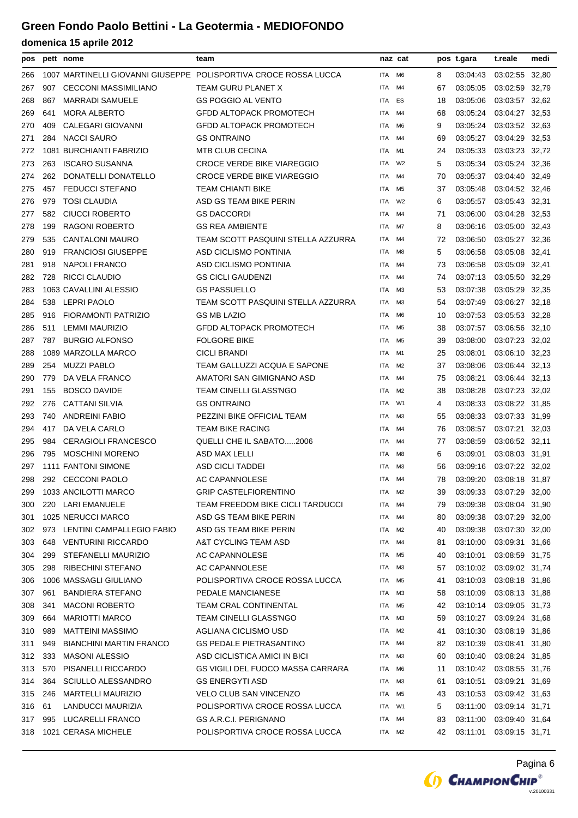| pos |     | pett nome                      | team                                                             |            | naz cat        |    | pos t.gara | t.reale        | medi |
|-----|-----|--------------------------------|------------------------------------------------------------------|------------|----------------|----|------------|----------------|------|
| 266 |     |                                | 1007 MARTINELLI GIOVANNI GIUSEPPE POLISPORTIVA CROCE ROSSA LUCCA | <b>ITA</b> | M6             | 8  | 03:04:43   | 03:02:55 32,80 |      |
| 267 | 907 | <b>CECCONI MASSIMILIANO</b>    | TEAM GURU PLANET X                                               | ITA        | M4             | 67 | 03:05:05   | 03:02:59 32,79 |      |
| 268 | 867 | <b>MARRADI SAMUELE</b>         | GS POGGIO AL VENTO                                               | <b>ITA</b> | ES             | 18 | 03:05:06   | 03:03:57 32,62 |      |
| 269 | 641 | <b>MORA ALBERTO</b>            | <b>GFDD ALTOPACK PROMOTECH</b>                                   | ITA        | M4             | 68 | 03:05:24   | 03:04:27 32,53 |      |
| 270 | 409 | <b>CALEGARI GIOVANNI</b>       | GFDD ALTOPACK PROMOTECH                                          | ITA        | M6             | 9  | 03:05:24   | 03:03:52 32,63 |      |
| 271 | 284 | <b>NACCI SAURO</b>             | <b>GS ONTRAINO</b>                                               | ITA        | M4             | 69 | 03:05:27   | 03:04:29 32,53 |      |
| 272 |     | 1081 BURCHIANTI FABRIZIO       | <b>MTB CLUB CECINA</b>                                           | ITA        | M1             | 24 | 03:05:33   | 03:03:23 32,72 |      |
| 273 | 263 | <b>ISCARO SUSANNA</b>          | <b>CROCE VERDE BIKE VIAREGGIO</b>                                | ITA        | W2             | 5  | 03:05:34   | 03:05:24 32,36 |      |
| 274 | 262 | <b>DONATELLI DONATELLO</b>     | <b>CROCE VERDE BIKE VIAREGGIO</b>                                | <b>ITA</b> | M4             | 70 | 03:05:37   | 03:04:40 32,49 |      |
| 275 | 457 | <b>FEDUCCI STEFANO</b>         | TEAM CHIANTI BIKE                                                | ITA        | M <sub>5</sub> | 37 | 03:05:48   | 03:04:52 32,46 |      |
| 276 | 979 | <b>TOSI CLAUDIA</b>            | ASD GS TEAM BIKE PERIN                                           | ITA        | W <sub>2</sub> | 6  | 03:05:57   | 03:05:43 32,31 |      |
| 277 | 582 | <b>CIUCCI ROBERTO</b>          | <b>GS DACCORDI</b>                                               | ITA        | M4             | 71 | 03:06:00   | 03:04:28 32,53 |      |
| 278 | 199 | RAGONI ROBERTO                 | <b>GS REA AMBIENTE</b>                                           | ITA        | M7             | 8  | 03:06:16   | 03:05:00 32,43 |      |
| 279 | 535 | <b>CANTALONI MAURO</b>         | TEAM SCOTT PASQUINI STELLA AZZURRA                               | ITA        | M4             | 72 | 03:06:50   | 03:05:27 32,36 |      |
| 280 | 919 | <b>FRANCIOSI GIUSEPPE</b>      | ASD CICLISMO PONTINIA                                            | ITA        | M8             | 5  | 03:06:58   | 03:05:08 32,41 |      |
| 281 | 918 | <b>NAPOLI FRANCO</b>           | <b>ASD CICLISMO PONTINIA</b>                                     | ITA        | M4             | 73 | 03:06:58   | 03:05:09 32,41 |      |
| 282 | 728 | RICCI CLAUDIO                  | <b>GS CICLI GAUDENZI</b>                                         | ITA        | M4             | 74 | 03:07:13   | 03:05:50 32,29 |      |
| 283 |     | 1063 CAVALLINI ALESSIO         | <b>GS PASSUELLO</b>                                              | ITA        | M <sub>3</sub> | 53 | 03:07:38   | 03:05:29 32,35 |      |
| 284 | 538 | <b>LEPRI PAOLO</b>             | TEAM SCOTT PASQUINI STELLA AZZURRA                               | ITA        | M <sub>3</sub> | 54 | 03:07:49   | 03:06:27 32,18 |      |
| 285 | 916 | FIORAMONTI PATRIZIO            | <b>GS MB LAZIO</b>                                               | ITA        | M6             | 10 | 03:07:53   | 03:05:53 32,28 |      |
| 286 | 511 | LEMMI MAURIZIO                 | GFDD ALTOPACK PROMOTECH                                          | <b>ITA</b> | M <sub>5</sub> | 38 | 03:07:57   | 03:06:56 32,10 |      |
| 287 | 787 | <b>BURGIO ALFONSO</b>          | <b>FOLGORE BIKE</b>                                              | ITA        | M <sub>5</sub> | 39 | 03:08:00   | 03:07:23 32,02 |      |
| 288 |     | 1089 MARZOLLA MARCO            | <b>CICLI BRANDI</b>                                              | ITA        | M1             | 25 | 03:08:01   | 03:06:10 32,23 |      |
| 289 | 254 | <b>MUZZI PABLO</b>             | TEAM GALLUZZI ACQUA E SAPONE                                     | ITA        | M <sub>2</sub> | 37 | 03:08:06   | 03:06:44 32,13 |      |
| 290 | 779 | DA VELA FRANCO                 | AMATORI SAN GIMIGNANO ASD                                        | ITA        | M4             | 75 | 03:08:21   | 03:06:44 32,13 |      |
| 291 | 155 | <b>BOSCO DAVIDE</b>            | TEAM CINELLI GLASS'NGO                                           | ITA        | M2             | 38 | 03:08:28   | 03:07:23 32,02 |      |
| 292 | 276 | <b>CATTANI SILVIA</b>          | <b>GS ONTRAINO</b>                                               | <b>ITA</b> | W1             | 4  | 03:08:33   | 03:08:22 31,85 |      |
| 293 | 740 | <b>ANDREINI FABIO</b>          | PEZZINI BIKE OFFICIAL TEAM                                       | ITA        | M3             | 55 | 03:08:33   | 03:07:33 31,99 |      |
| 294 | 417 | DA VELA CARLO                  | <b>TEAM BIKE RACING</b>                                          | ITA        | M4             | 76 | 03:08:57   | 03:07:21 32.03 |      |
| 295 | 984 | <b>CERAGIOLI FRANCESCO</b>     | <b>QUELLI CHE IL SABATO2006</b>                                  | ITA        | M4             | 77 | 03:08:59   | 03:06:52 32,11 |      |
| 296 | 795 | <b>MOSCHINI MORENO</b>         | ASD MAX LELLI                                                    | ITA        | M8             | 6  | 03:09:01   | 03:08:03 31.91 |      |
| 297 |     | 1111 FANTONI SIMONE            | ASD CICLI TADDEI                                                 | ITA        | M <sub>3</sub> | 56 | 03:09:16   | 03:07:22 32,02 |      |
| 298 |     | 292 CECCONI PAOLO              | <b>AC CAPANNOLESE</b>                                            | <b>ITA</b> | M4             | 78 | 03:09:20   | 03:08:18 31,87 |      |
| 299 |     | 1033 ANCILOTTI MARCO           | <b>GRIP CASTELFIORENTINO</b>                                     | ITA M2     |                | 39 | 03:09:33   | 03:07:29 32,00 |      |
| 300 |     | 220 LARI EMANUELE              | TEAM FREEDOM BIKE CICLI TARDUCCI                                 | ITA        | M4             | 79 | 03:09:38   | 03:08:04 31,90 |      |
| 301 |     | 1025 NERUCCI MARCO             | ASD GS TEAM BIKE PERIN                                           | ITA        | M4             | 80 | 03:09:38   | 03:07:29 32,00 |      |
| 302 |     | 973 LENTINI CAMPALLEGIO FABIO  | ASD GS TEAM BIKE PERIN                                           | ITA        | M <sub>2</sub> | 40 | 03:09:38   | 03:07:30 32,00 |      |
| 303 | 648 | <b>VENTURINI RICCARDO</b>      | A&T CYCLING TEAM ASD                                             | ITA        | M4             | 81 | 03:10:00   | 03:09:31 31,66 |      |
| 304 | 299 | STEFANELLI MAURIZIO            | AC CAPANNOLESE                                                   | ITA        | M5             | 40 | 03:10:01   | 03:08:59 31,75 |      |
| 305 | 298 | <b>RIBECHINI STEFANO</b>       | AC CAPANNOLESE                                                   | ITA        | ΜЗ             | 57 | 03:10:02   | 03:09:02 31,74 |      |
| 306 |     | 1006 MASSAGLI GIULIANO         | POLISPORTIVA CROCE ROSSA LUCCA                                   | ITA        | M5             | 41 | 03:10:03   | 03:08:18 31,86 |      |
| 307 | 961 | <b>BANDIERA STEFANO</b>        | PEDALE MANCIANESE                                                | ITA        | MЗ             | 58 | 03:10:09   | 03:08:13 31,88 |      |
| 308 | 341 | <b>MACONI ROBERTO</b>          | <b>TEAM CRAL CONTINENTAL</b>                                     | ITA        | M5             | 42 | 03:10:14   | 03:09:05 31,73 |      |
| 309 | 664 | <b>MARIOTTI MARCO</b>          | TEAM CINELLI GLASS'NGO                                           | ITA        | ΜЗ             | 59 | 03:10:27   | 03:09:24 31,68 |      |
| 310 | 989 | <b>MATTEINI MASSIMO</b>        | AGLIANA CICLISMO USD                                             | ITA        | M2             | 41 | 03:10:30   | 03:08:19 31,86 |      |
| 311 | 949 | <b>BIANCHINI MARTIN FRANCO</b> | <b>GS PEDALE PIETRASANTINO</b>                                   | ITA        | M4             | 82 | 03:10:39   | 03:08:41 31,80 |      |
| 312 | 333 | <b>MASONI ALESSIO</b>          | ASD CICLISTICA AMICI IN BICI                                     | ITA        | ΜЗ             | 60 | 03:10:40   | 03:08:24 31,85 |      |
| 313 | 570 | PISANELLI RICCARDO             | <b>GS VIGILI DEL FUOCO MASSA CARRARA</b>                         | ITA        | M6             | 11 | 03:10:42   | 03:08:55 31,76 |      |
| 314 | 364 | <b>SCIULLO ALESSANDRO</b>      | <b>GS ENERGYTI ASD</b>                                           | ITA        | M3             | 61 | 03:10:51   | 03:09:21 31,69 |      |
| 315 | 246 | <b>MARTELLI MAURIZIO</b>       | <b>VELO CLUB SAN VINCENZO</b>                                    | ITA        | M5             | 43 | 03:10:53   | 03:09:42 31,63 |      |
| 316 | 61  | LANDUCCI MAURIZIA              | POLISPORTIVA CROCE ROSSA LUCCA                                   | ITA        | W1             | 5  | 03:11:00   | 03:09:14 31,71 |      |
| 317 | 995 | LUCARELLI FRANCO               | GS A.R.C.I. PERIGNANO                                            | ITA        | M4             | 83 | 03:11:00   | 03:09:40 31,64 |      |
| 318 |     | 1021 CERASA MICHELE            | POLISPORTIVA CROCE ROSSA LUCCA                                   | ITA M2     |                | 42 | 03:11:01   | 03:09:15 31,71 |      |
|     |     |                                |                                                                  |            |                |    |            |                |      |

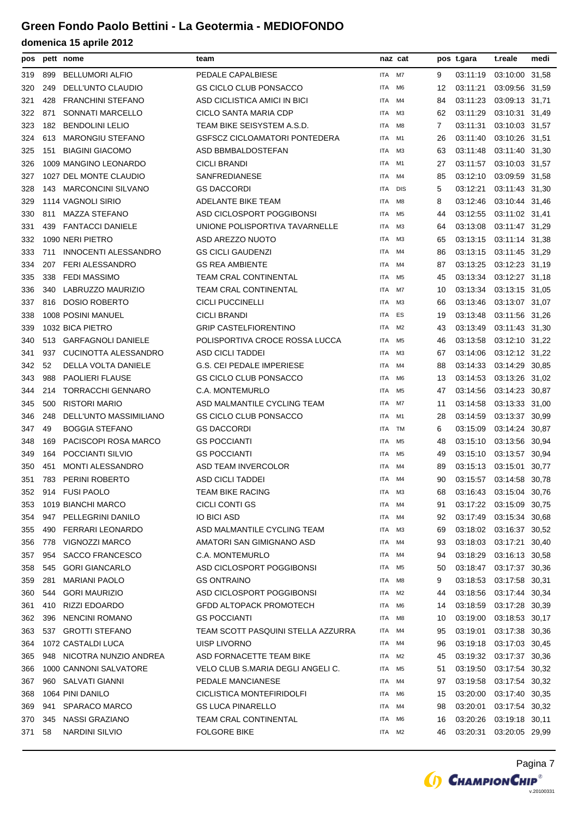| pos |     | pett nome                 | team                                 |            | naz cat        |    | pos t.gara | t.reale                 | medi  |
|-----|-----|---------------------------|--------------------------------------|------------|----------------|----|------------|-------------------------|-------|
| 319 | 899 | <b>BELLUMORI ALFIO</b>    | PEDALE CAPALBIESE                    | ITA I      | M7             | 9  | 03:11:19   | 03:10:00 31,58          |       |
| 320 | 249 | DELL'UNTO CLAUDIO         | <b>GS CICLO CLUB PONSACCO</b>        | <b>ITA</b> | M6             | 12 | 03:11:21   | 03:09:56 31,59          |       |
| 321 | 428 | <b>FRANCHINI STEFANO</b>  | ASD CICLISTICA AMICI IN BICI         | ITA        | M4             | 84 | 03:11:23   | 03:09:13 31,71          |       |
| 322 | 871 | <b>SONNATI MARCELLO</b>   | CICLO SANTA MARIA CDP                | <b>ITA</b> | ΜЗ             | 62 | 03:11:29   | 03:10:31 31,49          |       |
| 323 | 182 | <b>BENDOLINI LELIO</b>    | TEAM BIKE SEISYSTEM A.S.D.           | ITA        | M8             | 7  | 03:11:31   | 03:10:03 31,57          |       |
| 324 | 613 | <b>MARONGIU STEFANO</b>   | <b>GSFSCZ CICLOAMATORI PONTEDERA</b> | ITA        | M1             | 26 | 03:11:40   | 03:10:26 31,51          |       |
| 325 | 151 | <b>BIAGINI GIACOMO</b>    | ASD BBMBALDOSTEFAN                   | <b>ITA</b> | MЗ             | 63 | 03:11:48   | 03:11:40 31,30          |       |
| 326 |     | 1009 MANGINO LEONARDO     | <b>CICLI BRANDI</b>                  | ITA        | M1             | 27 | 03:11:57   | 03:10:03 31,57          |       |
| 327 |     | 1027 DEL MONTE CLAUDIO    | SANFREDIANESE                        | <b>ITA</b> | M4             | 85 | 03:12:10   | 03:09:59 31,58          |       |
| 328 | 143 | <b>MARCONCINI SILVANO</b> | <b>GS DACCORDI</b>                   | <b>ITA</b> | <b>DIS</b>     | 5  | 03:12:21   | 03:11:43 31,30          |       |
| 329 |     | 1114 VAGNOLI SIRIO        | ADELANTE BIKE TEAM                   | ITA        | M8             | 8  | 03:12:46   | 03:10:44 31,46          |       |
| 330 | 811 | <b>MAZZA STEFANO</b>      | ASD CICLOSPORT POGGIBONSI            | ITA        | M5             | 44 | 03:12:55   | 03:11:02 31,41          |       |
| 331 | 439 | <b>FANTACCI DANIELE</b>   | UNIONE POLISPORTIVA TAVARNELLE       | <b>ITA</b> | ΜЗ             | 64 | 03:13:08   | 03:11:47 31,29          |       |
| 332 |     | 1090 NERI PIETRO          | ASD AREZZO NUOTO                     | ITA        | MЗ             | 65 | 03:13:15   | 03:11:14 31,38          |       |
| 333 | 711 | INNOCENTI ALESSANDRO      | <b>GS CICLI GAUDENZI</b>             | ITA        | M4             | 86 | 03:13:15   | 03:11:45 31,29          |       |
| 334 | 207 | <b>FERI ALESSANDRO</b>    | <b>GS REA AMBIENTE</b>               | ITA        | M4             | 87 | 03:13:25   | 03:12:23 31,19          |       |
| 335 | 338 | <b>FEDI MASSIMO</b>       | <b>TEAM CRAL CONTINENTAL</b>         | ITA        | M5             | 45 | 03:13:34   | 03:12:27 31,18          |       |
| 336 | 340 | LABRUZZO MAURIZIO         | <b>TEAM CRAL CONTINENTAL</b>         | ITA        | M7             | 10 | 03:13:34   | 03:13:15 31,05          |       |
| 337 | 816 | <b>DOSIO ROBERTO</b>      | <b>CICLI PUCCINELLI</b>              | <b>ITA</b> | MЗ             | 66 | 03:13:46   | 03:13:07 31,07          |       |
| 338 |     | 1008 POSINI MANUEL        | <b>CICLI BRANDI</b>                  | <b>ITA</b> | ES             | 19 | 03:13:48   | 03:11:56 31,26          |       |
| 339 |     | 1032 BICA PIETRO          | <b>GRIP CASTELFIORENTINO</b>         | <b>ITA</b> | M <sub>2</sub> | 43 | 03:13:49   | 03:11:43 31,30          |       |
| 340 | 513 | <b>GARFAGNOLI DANIELE</b> | POLISPORTIVA CROCE ROSSA LUCCA       | <b>ITA</b> | M5             | 46 | 03:13:58   | 03:12:10 31,22          |       |
| 341 | 937 | CUCINOTTA ALESSANDRO      | ASD CICLI TADDEI                     | ITA        | ΜЗ             | 67 | 03:14:06   | 03:12:12 31,22          |       |
| 342 | 52  | DELLA VOLTA DANIELE       | <b>G.S. CEI PEDALE IMPERIESE</b>     | <b>ITA</b> | M4             | 88 | 03:14:33   | 03:14:29 30,85          |       |
| 343 | 988 | <b>PAOLIERI FLAUSE</b>    | <b>GS CICLO CLUB PONSACCO</b>        | <b>ITA</b> | M <sub>6</sub> | 13 | 03:14:53   | 03:13:26 31,02          |       |
| 344 | 214 | <b>TORRACCHI GENNARO</b>  | C.A. MONTEMURLO                      | ITA        | M <sub>5</sub> | 47 | 03:14:56   | 03:14:23 30,87          |       |
| 345 | 500 | <b>RISTORI MARIO</b>      | ASD MALMANTILE CYCLING TEAM          | ITA        | M7             | 11 | 03:14:58   | 03:13:33 31,00          |       |
| 346 | 248 | DELL'UNTO MASSIMILIANO    | GS CICLO CLUB PONSACCO               | <b>ITA</b> | M1             | 28 | 03:14:59   | 03:13:37 30,99          |       |
| 347 | 49  | <b>BOGGIA STEFANO</b>     | <b>GS DACCORDI</b>                   | ITA        | TM             | 6  | 03:15:09   | 03:14:24 30,87          |       |
| 348 | 169 | PACISCOPI ROSA MARCO      | <b>GS POCCIANTI</b>                  | ITA        | M5             | 48 | 03:15:10   | 03:13:56 30,94          |       |
| 349 | 164 | POCCIANTI SILVIO          | <b>GS POCCIANTI</b>                  | <b>ITA</b> | M5             | 49 | 03:15:10   | 03:13:57 30,94          |       |
| 350 | 451 | <b>MONTI ALESSANDRO</b>   | ASD TEAM INVERCOLOR                  | ITA        | M4             | 89 | 03:15:13   | 03:15:01                | 30,77 |
| 351 |     | 783 PERINI ROBERTO        | ASD CICLI TADDEI                     | <b>ITA</b> | M4             | 90 |            | 03:15:57 03:14:58 30,78 |       |
| 352 |     | 914 FUSI PAOLO            | TEAM BIKE RACING                     | ITA        | ΜЗ             | 68 |            | 03:16:43 03:15:04 30,76 |       |
| 353 |     | 1019 BIANCHI MARCO        | CICLI CONTI GS                       | ITA        | M4             | 91 |            | 03:17:22 03:15:09 30,75 |       |
| 354 | 947 | PELLEGRINI DANILO         | <b>IO BICI ASD</b>                   | ITA        | M4             | 92 | 03:17:49   | 03:15:34 30,68          |       |
| 355 | 490 | <b>FERRARI LEONARDO</b>   | ASD MALMANTILE CYCLING TEAM          | ITA        | MЗ             | 69 |            | 03:18:02 03:16:37 30.52 |       |
| 356 | 778 | VIGNOZZI MARCO            | AMATORI SAN GIMIGNANO ASD            | ITA        | M4             | 93 | 03:18:03   | 03:17:21 30,40          |       |
| 357 | 954 | <b>SACCO FRANCESCO</b>    | C.A. MONTEMURLO                      | ITA        | M4             | 94 | 03:18:29   | 03:16:13 30,58          |       |
| 358 | 545 | <b>GORI GIANCARLO</b>     | ASD CICLOSPORT POGGIBONSI            | ITA        | M <sub>5</sub> | 50 |            | 03:18:47 03:17:37 30,36 |       |
| 359 | 281 | <b>MARIANI PAOLO</b>      | <b>GS ONTRAINO</b>                   | ITA        | M8             | 9  | 03:18:53   | 03:17:58 30.31          |       |
| 360 | 544 | <b>GORI MAURIZIO</b>      | ASD CICLOSPORT POGGIBONSI            | ITA        | M2             | 44 | 03:18:56   | 03:17:44 30,34          |       |
| 361 | 410 | RIZZI EDOARDO             | <b>GFDD ALTOPACK PROMOTECH</b>       | ITA        | M6             | 14 | 03:18:59   | 03:17:28 30,39          |       |
| 362 | 396 | NENCINI ROMANO            | <b>GS POCCIANTI</b>                  | ITA        | M8             | 10 | 03:19:00   | 03:18:53 30,17          |       |
| 363 | 537 | <b>GROTTI STEFANO</b>     | TEAM SCOTT PASQUINI STELLA AZZURRA   | ITA        | M4             | 95 | 03:19:01   | 03:17:38 30,36          |       |
| 364 |     | 1072 CASTALDI LUCA        | UISP LIVORNO                         | ITA        | M4             | 96 | 03:19:18   | 03:17:03 30,45          |       |
| 365 |     | 948 NICOTRA NUNZIO ANDREA | ASD FORNACETTE TEAM BIKE             | ITA        | M <sub>2</sub> | 45 |            | 03:19:32 03:17:37 30,36 |       |
| 366 |     | 1000 CANNONI SALVATORE    | VELO CLUB S.MARIA DEGLI ANGELI C.    | ITA        | M5             | 51 | 03:19:50   | 03:17:54 30,32          |       |
| 367 |     | 960 SALVATI GIANNI        | PEDALE MANCIANESE                    | ITA        | M4             | 97 | 03:19:58   | 03:17:54 30,32          |       |
| 368 |     | 1064 PINI DANILO          | CICLISTICA MONTEFIRIDOLFI            | ITA        | M6             | 15 | 03:20:00   | 03:17:40 30,35          |       |
| 369 | 941 | <b>SPARACO MARCO</b>      | <b>GS LUCA PINARELLO</b>             | ITA        | M4             | 98 | 03:20:01   | 03:17:54 30,32          |       |
| 370 | 345 | <b>NASSI GRAZIANO</b>     | <b>TEAM CRAL CONTINENTAL</b>         | ITA        | M6             | 16 | 03:20:26   | 03:19:18 30,11          |       |
| 371 | 58  | NARDINI SILVIO            | <b>FOLGORE BIKE</b>                  | ITA        | M2             | 46 | 03:20:31   | 03:20:05 29,99          |       |
|     |     |                           |                                      |            |                |    |            |                         |       |

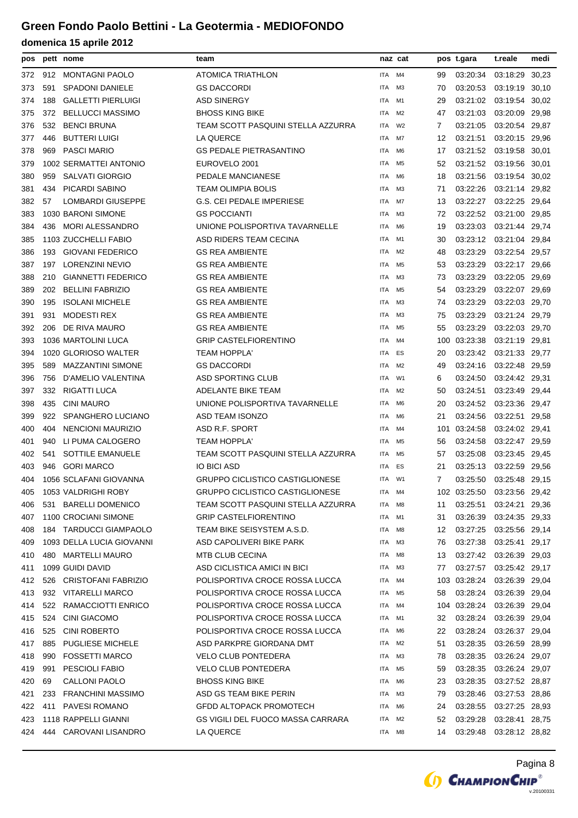| pos |     | pett nome                 | team                                   |            | naz cat        |     | pos t.gara              | t.reale        | medi  |
|-----|-----|---------------------------|----------------------------------------|------------|----------------|-----|-------------------------|----------------|-------|
| 372 | 912 | <b>MONTAGNI PAOLO</b>     | <b>ATOMICA TRIATHLON</b>               | ITA        | M4             | 99  | 03:20:34                | 03:18:29       | 30,23 |
| 373 | 591 | <b>SPADONI DANIELE</b>    | <b>GS DACCORDI</b>                     | ITA        | M <sub>3</sub> | 70  | 03:20:53                | 03:19:19 30,10 |       |
| 374 | 188 | <b>GALLETTI PIERLUIGI</b> | <b>ASD SINERGY</b>                     | ITA        | M1             | 29  | 03:21:02 03:19:54       |                | 30,02 |
| 375 | 372 | <b>BELLUCCI MASSIMO</b>   | <b>BHOSS KING BIKE</b>                 | ITA        | M2             | 47  | 03:21:03                | 03:20:09 29,98 |       |
| 376 | 532 | <b>BENCI BRUNA</b>        | TEAM SCOTT PASQUINI STELLA AZZURRA     | ITA        | W <sub>2</sub> | 7   | 03:21:05                | 03:20:54 29,87 |       |
| 377 | 446 | <b>BUTTERI LUIGI</b>      | LA QUERCE                              | ITA        | M7             | 12  | 03:21:51                | 03:20:15       | 29,96 |
| 378 | 969 | <b>PASCI MARIO</b>        | <b>GS PEDALE PIETRASANTINO</b>         | ITA        | M <sub>6</sub> | 17  | 03:21:52                | 03:19:58       | 30,01 |
| 379 |     | 1002 SERMATTEI ANTONIO    | EUROVELO 2001                          | ITA        | M <sub>5</sub> | 52  | 03:21:52                | 03:19:56       | 30,01 |
| 380 | 959 | <b>SALVATI GIORGIO</b>    | PEDALE MANCIANESE                      | ITA        | M6             | 18  | 03:21:56                | 03:19:54       | 30,02 |
| 381 | 434 | PICARDI SABINO            | <b>TEAM OLIMPIA BOLIS</b>              | ITA        | MЗ             | 71  | 03:22:26                | 03:21:14 29,82 |       |
| 382 | 57  | <b>LOMBARDI GIUSEPPE</b>  | G.S. CEI PEDALE IMPERIESE              | ITA        | M7             | 13  | 03:22:27                | 03:22:25 29,64 |       |
| 383 |     | 1030 BARONI SIMONE        | <b>GS POCCIANTI</b>                    | ITA        | M3             | 72  | 03:22:52                | 03:21:00       | 29,85 |
| 384 | 436 | <b>MORI ALESSANDRO</b>    | UNIONE POLISPORTIVA TAVARNELLE         | ITA        | M <sub>6</sub> | 19  | 03:23:03                | 03:21:44       | 29,74 |
| 385 |     | 1103 ZUCCHELLI FABIO      | ASD RIDERS TEAM CECINA                 | ITA        | M1             | 30  | 03:23:12                | 03:21:04       | 29,84 |
| 386 | 193 | <b>GIOVANI FEDERICO</b>   | <b>GS REA AMBIENTE</b>                 | ITA        | M <sub>2</sub> | 48  | 03:23:29                | 03:22:54       | 29,57 |
| 387 | 197 | <b>LORENZINI NEVIO</b>    | <b>GS REA AMBIENTE</b>                 | ITA        | M <sub>5</sub> | 53  | 03:23:29                | 03:22:17 29,66 |       |
| 388 | 210 | <b>GIANNETTI FEDERICO</b> | <b>GS REA AMBIENTE</b>                 | ITA        | MЗ             | 73  | 03:23:29                | 03:22:05 29,69 |       |
| 389 | 202 | <b>BELLINI FABRIZIO</b>   | <b>GS REA AMBIENTE</b>                 | ITA        | M <sub>5</sub> | 54  | 03:23:29                | 03:22:07       | 29,69 |
| 390 | 195 | <b>ISOLANI MICHELE</b>    | <b>GS REA AMBIENTE</b>                 | ITA        | M3             | 74  | 03:23:29                | 03:22:03       | 29,70 |
| 391 | 931 | <b>MODESTI REX</b>        | <b>GS REA AMBIENTE</b>                 | ITA        | M <sub>3</sub> | 75  | 03:23:29                | 03:21:24       | 29,79 |
| 392 | 206 | DE RIVA MAURO             | <b>GS REA AMBIENTE</b>                 | ITA        | M <sub>5</sub> | 55  | 03:23:29                | 03:22:03       | 29,70 |
| 393 |     | 1036 MARTOLINI LUCA       | <b>GRIP CASTELFIORENTINO</b>           | ITA        | M4             | 100 | 03:23:38                | 03:21:19 29,81 |       |
| 394 |     | 1020 GLORIOSO WALTER      | TEAM HOPPLA'                           | ITA        | ES             | 20  | 03:23:42                | 03:21:33 29,77 |       |
| 395 | 589 | <b>MAZZANTINI SIMONE</b>  | <b>GS DACCORDI</b>                     | ITA        | M2             | 49  | 03:24:16                | 03:22:48       | 29,59 |
| 396 | 756 | D'AMELIO VALENTINA        | ASD SPORTING CLUB                      | ITA        | W1             | 6   | 03:24:50                | 03:24:42 29,31 |       |
| 397 | 332 | RIGATTI LUCA              | ADELANTE BIKE TEAM                     | ITA        | M <sub>2</sub> | 50  | 03:24:51                | 03:23:49 29,44 |       |
| 398 | 435 | <b>CINI MAURO</b>         | UNIONE POLISPORTIVA TAVARNELLE         | ITA        | M6             | 20  | 03:24:52                | 03:23:36 29,47 |       |
| 399 | 922 | SPANGHERO LUCIANO         | ASD TEAM ISONZO                        | ITA        | M6             | 21  | 03:24:56                | 03:22:51 29,58 |       |
| 400 | 404 | NENCIONI MAURIZIO         | ASD R.F. SPORT                         | ITA        | M4             | 101 | 03:24:58                | 03:24:02 29,41 |       |
| 401 | 940 | LI PUMA CALOGERO          | <b>TEAM HOPPLA'</b>                    | ITA        | M5             | 56  | 03:24:58                | 03:22:47       | 29,59 |
| 402 | 541 | SOTTILE EMANUELE          | TEAM SCOTT PASQUINI STELLA AZZURRA     | ITA        | M <sub>5</sub> | 57  | 03:25:08                | 03:23:45       | 29,45 |
| 403 | 946 | <b>GORI MARCO</b>         | <b>IO BICI ASD</b>                     | ITA        | ES             | 21  | 03:25:13                | 03:22:59       | 29,56 |
| 404 |     | 1056 SCLAFANI GIOVANNA    | <b>GRUPPO CICLISTICO CASTIGLIONESE</b> | ITA        | W1             | 7   | 03:25:50                | 03:25:48 29,15 |       |
| 405 |     | 1053 VALDRIGHI ROBY       | GRUPPO CICLISTICO CASTIGLIONESE        | ITA        | M4             |     | 102 03:25:50            | 03:23:56 29,42 |       |
| 406 |     | 531 BARELLI DOMENICO      | TEAM SCOTT PASQUINI STELLA AZZURRA     | ITA        | M8             | 11  | 03:25:51                | 03:24:21 29,36 |       |
| 407 |     | 1100 CROCIANI SIMONE      | <b>GRIP CASTELFIORENTINO</b>           | ITA        | M1             | 31  | 03:26:39                | 03:24:35 29,33 |       |
| 408 |     | 184 TARDUCCI GIAMPAOLO    | TEAM BIKE SEISYSTEM A.S.D.             | ITA        | M8             | 12  | 03:27:25                | 03:25:56 29,14 |       |
| 409 |     | 1093 DELLA LUCIA GIOVANNI | ASD CAPOLIVERI BIKE PARK               | ITA        | M3             | 76  | 03:27:38                | 03:25:41 29,17 |       |
| 410 | 480 | <b>MARTELLI MAURO</b>     | <b>MTB CLUB CECINA</b>                 | ITA        | M8             | 13  | 03:27:42 03:26:39 29,03 |                |       |
| 411 |     | 1099 GUIDI DAVID          | ASD CICLISTICA AMICI IN BICI           | ITA        | ΜЗ             | 77  | 03:27:57                | 03:25:42 29,17 |       |
| 412 |     | 526 CRISTOFANI FABRIZIO   | POLISPORTIVA CROCE ROSSA LUCCA         | ITA        | M4             |     | 103 03:28:24            | 03:26:39 29,04 |       |
| 413 | 932 | <b>VITARELLI MARCO</b>    | POLISPORTIVA CROCE ROSSA LUCCA         | ITA        | M5             | 58  | 03:28:24                | 03:26:39 29,04 |       |
| 414 |     | 522 RAMACCIOTTI ENRICO    | POLISPORTIVA CROCE ROSSA LUCCA         | ITA        | M4             | 104 | 03:28:24                | 03:26:39 29,04 |       |
| 415 | 524 | <b>CINI GIACOMO</b>       | POLISPORTIVA CROCE ROSSA LUCCA         | ITA        | M1             | 32  | 03:28:24                | 03:26:39 29,04 |       |
| 416 | 525 | <b>CINI ROBERTO</b>       | POLISPORTIVA CROCE ROSSA LUCCA         | ITA        | M6             | 22  | 03:28:24                | 03:26:37 29,04 |       |
| 417 | 885 | <b>PUGLIESE MICHELE</b>   | ASD PARKPRE GIORDANA DMT               | ITA        | M2             | 51  | 03:28:35                | 03:26:59 28,99 |       |
| 418 | 990 | <b>FOSSETTI MARCO</b>     | <b>VELO CLUB PONTEDERA</b>             | ITA        | M3             | 78  | 03:28:35                | 03:26:24 29,07 |       |
| 419 | 991 | PESCIOLI FABIO            | <b>VELO CLUB PONTEDERA</b>             | ITA        | M5             | 59  | 03:28:35                | 03:26:24 29,07 |       |
| 420 | 69  | CALLONI PAOLO             | <b>BHOSS KING BIKE</b>                 | <b>ITA</b> | M6             | 23  | 03:28:35                | 03:27:52 28,87 |       |
| 421 | 233 | <b>FRANCHINI MASSIMO</b>  | ASD GS TEAM BIKE PERIN                 | ITA        | M3             | 79  | 03:28:46                | 03:27:53 28,86 |       |
| 422 | 411 | <b>PAVESI ROMANO</b>      | <b>GFDD ALTOPACK PROMOTECH</b>         | ITA        | M6             | 24  | 03:28:55                | 03:27:25 28,93 |       |
| 423 |     | 1118 RAPPELLI GIANNI      | GS VIGILI DEL FUOCO MASSA CARRARA      | ITA        | M2             | 52  | 03:29:28                | 03:28:41 28,75 |       |
| 424 |     | 444 CAROVANI LISANDRO     | LA QUERCE                              | ITA        | M8             | 14  | 03:29:48                | 03:28:12 28,82 |       |

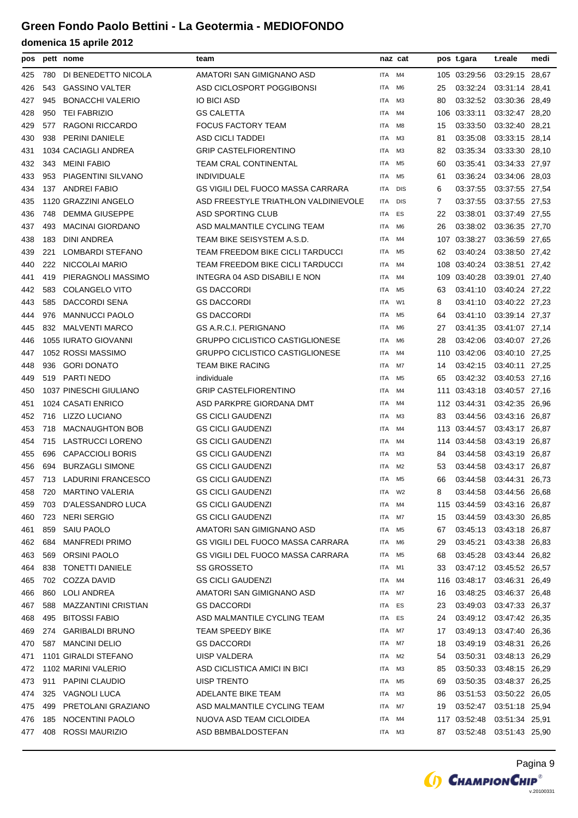| pos |     | pett nome                 | team                                     |            | naz cat        |     | pos t.gara              | t.reale        | medi  |
|-----|-----|---------------------------|------------------------------------------|------------|----------------|-----|-------------------------|----------------|-------|
| 425 | 780 | DI BENEDETTO NICOLA       | AMATORI SAN GIMIGNANO ASD                | ITA        | M4             |     | 105 03:29:56            | 03:29:15 28,67 |       |
| 426 | 543 | <b>GASSINO VALTER</b>     | ASD CICLOSPORT POGGIBONSI                | <b>ITA</b> | M <sub>6</sub> | 25  | 03:32:24                | 03:31:14 28,41 |       |
| 427 | 945 | <b>BONACCHI VALERIO</b>   | <b>IO BICI ASD</b>                       | ITA        | ΜЗ             | 80  | 03:32:52                | 03:30:36 28,49 |       |
| 428 | 950 | <b>TEI FABRIZIO</b>       | <b>GS CALETTA</b>                        | ITA        | M4             | 106 | 03:33:11                | 03:32:47 28,20 |       |
| 429 | 577 | <b>RAGONI RICCARDO</b>    | <b>FOCUS FACTORY TEAM</b>                | ITA        | M8             | 15  | 03:33:50                | 03:32:40 28,21 |       |
| 430 | 938 | PERINI DANIELE            | <b>ASD CICLI TADDEI</b>                  | <b>ITA</b> | M <sub>3</sub> | 81  | 03:35:08                | 03:33:15 28,14 |       |
| 431 |     | 1034 CACIAGLI ANDREA      | <b>GRIP CASTELFIORENTINO</b>             | ITA        | M <sub>3</sub> | 82  | 03:35:34                | 03:33:30 28,10 |       |
| 432 | 343 | <b>MEINI FABIO</b>        | TEAM CRAL CONTINENTAL                    | <b>ITA</b> | M <sub>5</sub> | 60  | 03:35:41                | 03:34:33 27,97 |       |
| 433 | 953 | PIAGENTINI SILVANO        | <b>INDIVIDUALE</b>                       | ITA        | M <sub>5</sub> | 61  | 03:36:24                | 03:34:06 28.03 |       |
| 434 |     | 137 ANDREI FABIO          | <b>GS VIGILI DEL FUOCO MASSA CARRARA</b> | <b>ITA</b> | <b>DIS</b>     | 6   | 03:37:55                | 03:37:55 27,54 |       |
| 435 |     | 1120 GRAZZINI ANGELO      | ASD FREESTYLE TRIATHLON VALDINIEVOLE     | ITA        | <b>DIS</b>     | 7   | 03:37:55                | 03:37:55 27,53 |       |
| 436 | 748 | <b>DEMMA GIUSEPPE</b>     | ASD SPORTING CLUB                        | ITA        | ES             | 22  | 03:38:01                | 03:37:49 27,55 |       |
| 437 | 493 | <b>MACINAI GIORDANO</b>   | ASD MALMANTILE CYCLING TEAM              | ITA        | M <sub>6</sub> | 26  | 03:38:02                | 03:36:35 27,70 |       |
| 438 | 183 | DINI ANDREA               | TEAM BIKE SEISYSTEM A.S.D.               | <b>ITA</b> | M4             | 107 | 03:38:27                | 03:36:59 27,65 |       |
| 439 | 221 | <b>LOMBARDI STEFANO</b>   | TEAM FREEDOM BIKE CICLI TARDUCCI         | ITA        | M5             | 62  | 03:40:24                | 03:38:50 27,42 |       |
| 440 | 222 | NICCOLAI MARIO            | TEAM FREEDOM BIKE CICLI TARDUCCI         | ITA        | M4             | 108 | 03:40:24                | 03:38:51 27,42 |       |
| 441 | 419 | PIERAGNOLI MASSIMO        | INTEGRA 04 ASD DISABILI E NON            | ITA        | M4             | 109 | 03:40:28                | 03:39:01 27,40 |       |
| 442 | 583 | <b>COLANGELO VITO</b>     | <b>GS DACCORDI</b>                       | ITA        | M <sub>5</sub> | 63  | 03:41:10                | 03:40:24 27,22 |       |
| 443 | 585 | DACCORDI SENA             | <b>GS DACCORDI</b>                       | <b>ITA</b> | W1             | 8   | 03:41:10                | 03:40:22 27,23 |       |
| 444 | 976 | <b>MANNUCCI PAOLO</b>     | <b>GS DACCORDI</b>                       | ITA        | M <sub>5</sub> | 64  | 03:41:10                | 03:39:14 27,37 |       |
| 445 | 832 | <b>MALVENTI MARCO</b>     | <b>GS A.R.C.I. PERIGNANO</b>             | ITA        | M <sub>6</sub> | 27  | 03:41:35                | 03:41:07 27,14 |       |
| 446 |     | 1055 IURATO GIOVANNI      | <b>GRUPPO CICLISTICO CASTIGLIONESE</b>   | ITA        | M6             | 28  | 03:42:06                | 03:40:07 27,26 |       |
| 447 |     | 1052 ROSSI MASSIMO        | <b>GRUPPO CICLISTICO CASTIGLIONESE</b>   | <b>ITA</b> | M4             | 110 | 03:42:06                | 03:40:10 27,25 |       |
| 448 | 936 | <b>GORI DONATO</b>        | <b>TEAM BIKE RACING</b>                  | ITA        | M7             | 14  | 03:42:15                | 03:40:11 27,25 |       |
| 449 | 519 | <b>PARTI NEDO</b>         | individuale                              | ITA        | M <sub>5</sub> | 65  | 03:42:32                | 03:40:53 27,16 |       |
| 450 |     | 1037 PINESCHI GIULIANO    | <b>GRIP CASTELFIORENTINO</b>             | ITA        | M4             | 111 | 03:43:18                | 03:40:57 27,16 |       |
| 451 |     | 1024 CASATI ENRICO        | ASD PARKPRE GIORDANA DMT                 | ITA        | M4             | 112 | 03:44:31                | 03:42:35 26,96 |       |
| 452 | 716 | LIZZO LUCIANO             | <b>GS CICLI GAUDENZI</b>                 | ITA        | ΜЗ             | 83  | 03:44:56                | 03:43:16 26,87 |       |
| 453 | 718 | <b>MACNAUGHTON BOB</b>    | <b>GS CICLI GAUDENZI</b>                 | ITA        | M4             |     | 113 03:44:57            | 03:43:17 26,87 |       |
| 454 | 715 | <b>LASTRUCCI LORENO</b>   | <b>GS CICLI GAUDENZI</b>                 | ITA        | M4             | 114 | 03:44:58                | 03:43:19       | 26,87 |
| 455 | 696 | <b>CAPACCIOLI BORIS</b>   | <b>GS CICLI GAUDENZI</b>                 | ITA        | M3             | 84  | 03:44:58                | 03:43:19       | 26,87 |
| 456 | 694 | <b>BURZAGLI SIMONE</b>    | <b>GS CICLI GAUDENZI</b>                 | ITA        | M <sub>2</sub> | 53  | 03:44:58                | 03:43:17 26,87 |       |
| 457 | 713 | <b>LADURINI FRANCESCO</b> | <b>GS CICLI GAUDENZI</b>                 | ITA        | M5             | 66  | 03:44:58                | 03:44:31 26,73 |       |
| 458 | 720 | <b>MARTINO VALERIA</b>    | <b>GS CICLI GAUDENZI</b>                 | ITA        | W <sub>2</sub> | 8   | 03:44:58                | 03:44:56 26,68 |       |
| 459 | 703 | D'ALESSANDRO LUCA         | <b>GS CICLI GAUDENZI</b>                 | ITA        | M4             |     | 115 03:44:59            | 03:43:16 26,87 |       |
| 460 | 723 | <b>NERI SERGIO</b>        | <b>GS CICLI GAUDENZI</b>                 | ITA        | M7             | 15  | 03:44:59                | 03:43:30 26,85 |       |
| 461 | 859 | SAIU PAOLO                | AMATORI SAN GIMIGNANO ASD                | ITA        | M <sub>5</sub> | 67  | 03:45:13 03:43:18 26,87 |                |       |
| 462 | 684 | <b>MANFREDI PRIMO</b>     | GS VIGILI DEL FUOCO MASSA CARRARA        | ITA        | M6             | 29  | 03:45:21                | 03:43:38 26,83 |       |
| 463 | 569 | ORSINI PAOLO              | GS VIGILI DEL FUOCO MASSA CARRARA        | ITA        | M5             | 68  | 03:45:28                | 03:43:44 26,82 |       |
| 464 | 838 | <b>TONETTI DANIELE</b>    | <b>SS GROSSETO</b>                       | ITA        | M1             | 33  | 03:47:12 03:45:52 26,57 |                |       |
| 465 | 702 | COZZA DAVID               | <b>GS CICLI GAUDENZI</b>                 | ITA        | M4             |     | 116 03:48:17            | 03:46:31 26,49 |       |
| 466 | 860 | LOLI ANDREA               | AMATORI SAN GIMIGNANO ASD                | ITA        | M7             | 16  | 03:48:25                | 03:46:37 26,48 |       |
| 467 | 588 | MAZZANTINI CRISTIAN       | <b>GS DACCORDI</b>                       | ITA        | ES             | 23  | 03:49:03                | 03:47:33 26,37 |       |
| 468 | 495 | <b>BITOSSI FABIO</b>      | ASD MALMANTILE CYCLING TEAM              | ITA        | ES             | 24  | 03:49:12 03:47:42 26,35 |                |       |
| 469 | 274 | <b>GARIBALDI BRUNO</b>    | <b>TEAM SPEEDY BIKE</b>                  | ITA        | M7             | 17  | 03:49:13                | 03:47:40 26,36 |       |
| 470 |     | 587 MANCINI DELIO         | <b>GS DACCORDI</b>                       | ITA        | M7             | 18  | 03:49:19                | 03:48:31 26,26 |       |
| 471 |     | 1101 GIRALDI STEFANO      | UISP VALDERA                             | ITA        | M2             | 54  | 03:50:31                | 03:48:13 26,29 |       |
| 472 |     | 1102 MARINI VALERIO       | ASD CICLISTICA AMICI IN BICI             | ITA        | M3             | 85  | 03:50:33                | 03:48:15 26,29 |       |
| 473 | 911 | PAPINI CLAUDIO            | <b>UISP TRENTO</b>                       | ITA        | M <sub>5</sub> | 69  | 03:50:35                | 03:48:37 26,25 |       |
| 474 | 325 | VAGNOLI LUCA              | ADELANTE BIKE TEAM                       | ITA        | ΜЗ             | 86  | 03:51:53                | 03:50:22 26,05 |       |
| 475 | 499 | PRETOLANI GRAZIANO        | ASD MALMANTILE CYCLING TEAM              | ITA        | M7             | 19  | 03:52:47 03:51:18 25,94 |                |       |
| 476 | 185 | NOCENTINI PAOLO           | NUOVA ASD TEAM CICLOIDEA                 | ITA        | M4             |     | 117 03:52:48            | 03:51:34 25,91 |       |
| 477 | 408 | ROSSI MAURIZIO            | ASD BBMBALDOSTEFAN                       | ITA        | ΜЗ             | 87  | 03:52:48 03:51:43 25,90 |                |       |

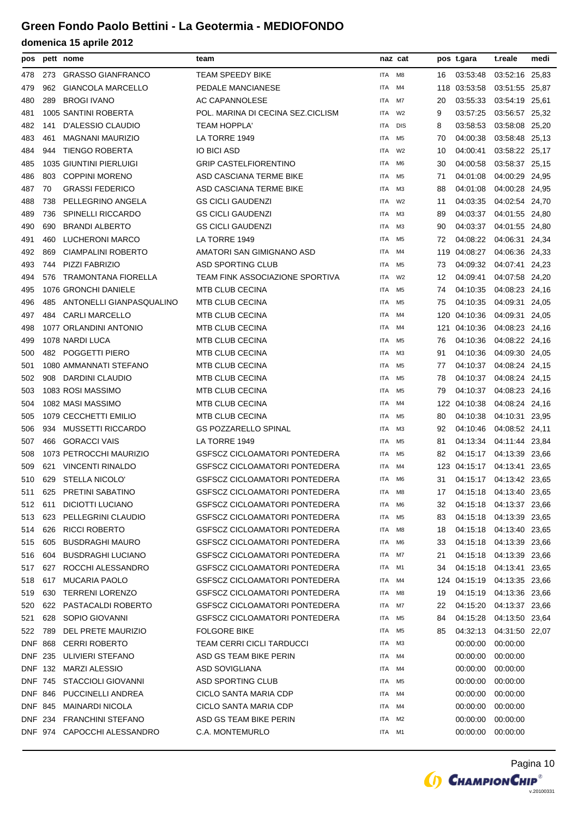| pos            |     | pett nome                   | team                                 |            | naz cat        |     | pos t.gara              | t.reale        | medi |
|----------------|-----|-----------------------------|--------------------------------------|------------|----------------|-----|-------------------------|----------------|------|
| 478            | 273 | <b>GRASSO GIANFRANCO</b>    | TEAM SPEEDY BIKE                     | ITA        | M8             | 16  | 03:53:48                | 03:52:16 25,83 |      |
| 479            | 962 | <b>GIANCOLA MARCELLO</b>    | PEDALE MANCIANESE                    | ITA        | M4             | 118 | 03:53:58                | 03:51:55 25,87 |      |
| 480            | 289 | <b>BROGI IVANO</b>          | AC CAPANNOLESE                       | ITA        | M7             | 20  | 03:55:33                | 03:54:19 25,61 |      |
| 481            |     | 1005 SANTINI ROBERTA        | POL. MARINA DI CECINA SEZ.CICLISM    | ITA        | W <sub>2</sub> | 9   | 03:57:25                | 03:56:57 25,32 |      |
| 482            | 141 | D'ALESSIO CLAUDIO           | <b>TEAM HOPPLA'</b>                  | ITA        | <b>DIS</b>     | 8   | 03:58:53                | 03:58:08 25,20 |      |
| 483            | 461 | <b>MAGNANI MAURIZIO</b>     | LA TORRE 1949                        | ITA        | M <sub>5</sub> | 70  | 04:00:38                | 03:58:48 25,13 |      |
| 484            | 944 | <b>TIENGO ROBERTA</b>       | <b>IO BICI ASD</b>                   | <b>ITA</b> | W <sub>2</sub> | 10  | 04:00:41                | 03:58:22 25,17 |      |
| 485            |     | 1035 GIUNTINI PIERLUIGI     | <b>GRIP CASTELFIORENTINO</b>         | ITA        | M6             | 30  | 04:00:58                | 03:58:37 25,15 |      |
| 486            | 803 | <b>COPPINI MORENO</b>       | ASD CASCIANA TERME BIKE              | ITA        | M5             | 71  | 04:01:08                | 04:00:29 24,95 |      |
| 487            | 70  | <b>GRASSI FEDERICO</b>      | ASD CASCIANA TERME BIKE              | ITA        | ΜЗ             | 88  | 04:01:08                | 04:00:28 24,95 |      |
| 488            | 738 | PELLEGRINO ANGELA           | <b>GS CICLI GAUDENZI</b>             | <b>ITA</b> | W <sub>2</sub> | 11  | 04:03:35                | 04:02:54 24,70 |      |
| 489            | 736 | <b>SPINELLI RICCARDO</b>    | <b>GS CICLI GAUDENZI</b>             | ITA        | ΜЗ             | 89  | 04:03:37                | 04:01:55 24,80 |      |
| 490            | 690 | <b>BRANDI ALBERTO</b>       | <b>GS CICLI GAUDENZI</b>             | <b>ITA</b> | ΜЗ             | 90  | 04:03:37                | 04:01:55 24,80 |      |
| 491            | 460 | LUCHERONI MARCO             | LA TORRE 1949                        | <b>ITA</b> | M5             | 72  | 04:08:22                | 04:06:31 24,34 |      |
| 492            | 869 | <b>CIAMPALINI ROBERTO</b>   | AMATORI SAN GIMIGNANO ASD            | ITA        | M4             | 119 | 04:08:27                | 04:06:36 24,33 |      |
| 493            | 744 | PIZZI FABRIZIO              | <b>ASD SPORTING CLUB</b>             | ITA        | M5             | 73  | 04:09:32                | 04:07:41 24,23 |      |
| 494            | 576 | <b>TRAMONTANA FIORELLA</b>  | TEAM FINK ASSOCIAZIONE SPORTIVA      | <b>ITA</b> | W <sub>2</sub> | 12  | 04:09:41                | 04:07:58 24,20 |      |
| 495            |     | 1076 GRONCHI DANIELE        | <b>MTB CLUB CECINA</b>               | ITA        | M <sub>5</sub> | 74  | 04:10:35                | 04:08:23 24,16 |      |
| 496            | 485 | ANTONELLI GIANPASQUALINO    | <b>MTB CLUB CECINA</b>               | <b>ITA</b> | M <sub>5</sub> | 75  | 04:10:35                | 04:09:31 24,05 |      |
| 497            | 484 | <b>CARLI MARCELLO</b>       | MTB CLUB CECINA                      | <b>ITA</b> | M4             | 120 | 04:10:36                | 04:09:31 24,05 |      |
| 498            |     | 1077 ORLANDINI ANTONIO      | <b>MTB CLUB CECINA</b>               | ITA        | M4             | 121 | 04:10:36                | 04:08:23 24,16 |      |
| 499            |     | 1078 NARDI LUCA             | MTB CLUB CECINA                      | ITA        | M5             | 76  | 04:10:36                | 04:08:22 24,16 |      |
| 500            |     | 482 POGGETTI PIERO          | MTB CLUB CECINA                      | <b>ITA</b> | ΜЗ             | 91  | 04:10:36                | 04:09:30 24,05 |      |
| 501            |     | 1080 AMMANNATI STEFANO      | MTB CLUB CECINA                      | ITA        | M <sub>5</sub> | 77  | 04:10:37                | 04:08:24 24,15 |      |
| 502            | 908 | DARDINI CLAUDIO             | MTB CLUB CECINA                      | ITA        | M <sub>5</sub> | 78  | 04:10:37                | 04:08:24 24,15 |      |
| 503            |     | 1083 ROSI MASSIMO           | MTB CLUB CECINA                      | <b>ITA</b> | M5             | 79  | 04:10:37                | 04:08:23 24,16 |      |
| 504            |     | 1082 MASI MASSIMO           | <b>MTB CLUB CECINA</b>               | ITA        | M4             | 122 | 04:10:38                | 04:08:24 24,16 |      |
| 505            |     | 1079 CECCHETTI EMILIO       | <b>MTB CLUB CECINA</b>               | ITA        | M5             | 80  | 04:10:38                | 04:10:31 23,95 |      |
| 506            | 934 | MUSSETTI RICCARDO           | <b>GS POZZARELLO SPINAL</b>          | <b>ITA</b> | ΜЗ             | 92  | 04:10:46                | 04:08:52 24,11 |      |
| 507            | 466 | <b>GORACCI VAIS</b>         | LA TORRE 1949                        | ITA        | M <sub>5</sub> | 81  | 04:13:34                | 04:11:44 23,84 |      |
| 508            |     | 1073 PETROCCHI MAURIZIO     | GSFSCZ CICLOAMATORI PONTEDERA        | ITA        | M <sub>5</sub> | 82  | 04:15:17 04:13:39 23,66 |                |      |
| 509            | 621 | <b>VINCENTI RINALDO</b>     | <b>GSFSCZ CICLOAMATORI PONTEDERA</b> | ITA        | M4             | 123 | 04:15:17                | 04:13:41 23,65 |      |
| 510            | 629 | <b>STELLA NICOLO</b>        | <b>GSFSCZ CICLOAMATORI PONTEDERA</b> | <b>ITA</b> | M6             | 31  | 04:15:17 04:13:42 23,65 |                |      |
| 511            | 625 | PRETINI SABATINO            | GSFSCZ CICLOAMATORI PONTEDERA        | ITA M8     |                | 17  | 04:15:18 04:13:40 23,65 |                |      |
| 512            | 611 | DICIOTTI LUCIANO            | GSFSCZ CICLOAMATORI PONTEDERA        | ITA        | M6             | 32  | 04:15:18 04:13:37 23,66 |                |      |
| 513            | 623 | PELLEGRINI CLAUDIO          | <b>GSFSCZ CICLOAMATORI PONTEDERA</b> | ITA        | M <sub>5</sub> | 83  | 04:15:18                | 04:13:39 23,65 |      |
| 514            | 626 | <b>RICCI ROBERTO</b>        | <b>GSFSCZ CICLOAMATORI PONTEDERA</b> | ITA        | M8             | 18  | 04:15:18 04:13:40 23,65 |                |      |
| 515            | 605 | <b>BUSDRAGHI MAURO</b>      | GSFSCZ CICLOAMATORI PONTEDERA        | ITA        | M6             | 33  | 04:15:18 04:13:39 23,66 |                |      |
| 516            | 604 | <b>BUSDRAGHI LUCIANO</b>    | <b>GSFSCZ CICLOAMATORI PONTEDERA</b> | ITA        | M7             | 21  | 04:15:18                | 04:13:39 23,66 |      |
| 517            | 627 | ROCCHI ALESSANDRO           | <b>GSFSCZ CICLOAMATORI PONTEDERA</b> | ITA        | M1             | 34  | 04:15:18                | 04:13:41 23.65 |      |
| 518            | 617 | <b>MUCARIA PAOLO</b>        | <b>GSFSCZ CICLOAMATORI PONTEDERA</b> | ITA        | M4             |     | 124 04:15:19            | 04:13:35 23,66 |      |
| 519            | 630 | <b>TERRENI LORENZO</b>      | <b>GSFSCZ CICLOAMATORI PONTEDERA</b> | ITA        | M8             | 19  | 04:15:19                | 04:13:36 23,66 |      |
| 520            | 622 | PASTACALDI ROBERTO          | GSFSCZ CICLOAMATORI PONTEDERA        | ITA        | M7             | 22  | 04:15:20                | 04:13:37 23,66 |      |
| 521            | 628 | SOPIO GIOVANNI              | GSFSCZ CICLOAMATORI PONTEDERA        | ITA        | M5             | 84  | 04:15:28                | 04:13:50 23,64 |      |
| 522            | 789 | DEL PRETE MAURIZIO          | <b>FOLGORE BIKE</b>                  | ITA        | M5             | 85  | 04:32:13                | 04:31:50 22,07 |      |
| DNF.           | 868 | <b>CERRI ROBERTO</b>        | TEAM CERRI CICLI TARDUCCI            | ITA        | M3             |     | 00:00:00                | 00:00:00       |      |
| DNF 235        |     | ULIVIERI STEFANO            | ASD GS TEAM BIKE PERIN               | ITA        | M4             |     | 00:00:00                | 00:00:00       |      |
| DNF.           | 132 | <b>MARZI ALESSIO</b>        | ASD SOVIGLIANA                       | ITA        | M4             |     | 00:00:00                | 00:00:00       |      |
| <b>DNF 745</b> |     | <b>STACCIOLI GIOVANNI</b>   | <b>ASD SPORTING CLUB</b>             | ITA        | M5             |     | 00:00:00                | 00:00:00       |      |
| DNF 846        |     | PUCCINELLI ANDREA           | CICLO SANTA MARIA CDP                | ITA        | M4             |     | 00:00:00                | 00:00:00       |      |
| DNF 845        |     | <b>MAINARDI NICOLA</b>      | CICLO SANTA MARIA CDP                | ITA        | M4             |     | 00:00:00                | 00:00:00       |      |
| DNF 234        |     | <b>FRANCHINI STEFANO</b>    | ASD GS TEAM BIKE PERIN               | ITA        | M2             |     | 00:00:00                | 00:00:00       |      |
|                |     | DNF 974 CAPOCCHI ALESSANDRO | C.A. MONTEMURLO                      | ITA        | M1             |     | 00:00:00                | 00:00:00       |      |